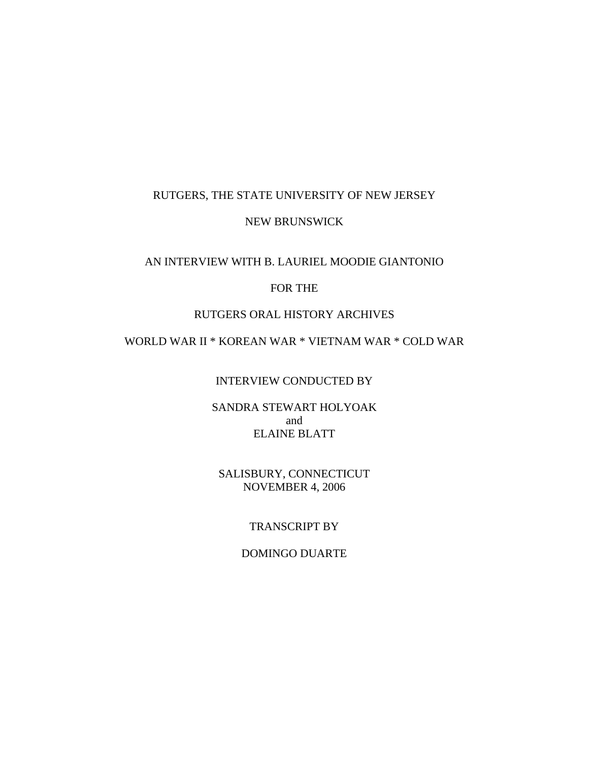# RUTGERS, THE STATE UNIVERSITY OF NEW JERSEY

### NEW BRUNSWICK

## AN INTERVIEW WITH B. LAURIEL MOODIE GIANTONIO

# FOR THE

### RUTGERS ORAL HISTORY ARCHIVES

## WORLD WAR II \* KOREAN WAR \* VIETNAM WAR \* COLD WAR

## INTERVIEW CONDUCTED BY

### SANDRA STEWART HOLYOAK and ELAINE BLATT

# SALISBURY, CONNECTICUT NOVEMBER 4, 2006

## TRANSCRIPT BY

### DOMINGO DUARTE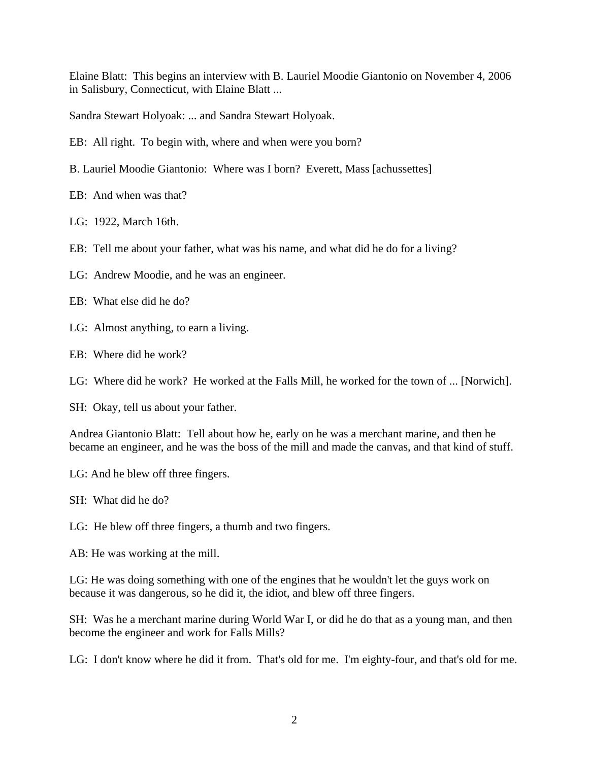Elaine Blatt: This begins an interview with B. Lauriel Moodie Giantonio on November 4, 2006 in Salisbury, Connecticut, with Elaine Blatt ...

Sandra Stewart Holyoak: ... and Sandra Stewart Holyoak.

- EB: All right. To begin with, where and when were you born?
- B. Lauriel Moodie Giantonio: Where was I born? Everett, Mass [achussettes]

EB: And when was that?

LG: 1922, March 16th.

EB: Tell me about your father, what was his name, and what did he do for a living?

LG: Andrew Moodie, and he was an engineer.

EB: What else did he do?

LG: Almost anything, to earn a living.

EB: Where did he work?

LG: Where did he work? He worked at the Falls Mill, he worked for the town of ... [Norwich].

SH: Okay, tell us about your father.

Andrea Giantonio Blatt: Tell about how he, early on he was a merchant marine, and then he became an engineer, and he was the boss of the mill and made the canvas, and that kind of stuff.

LG: And he blew off three fingers.

SH: What did he do?

LG: He blew off three fingers, a thumb and two fingers.

AB: He was working at the mill.

LG: He was doing something with one of the engines that he wouldn't let the guys work on because it was dangerous, so he did it, the idiot, and blew off three fingers.

SH: Was he a merchant marine during World War I, or did he do that as a young man, and then become the engineer and work for Falls Mills?

LG: I don't know where he did it from. That's old for me. I'm eighty-four, and that's old for me.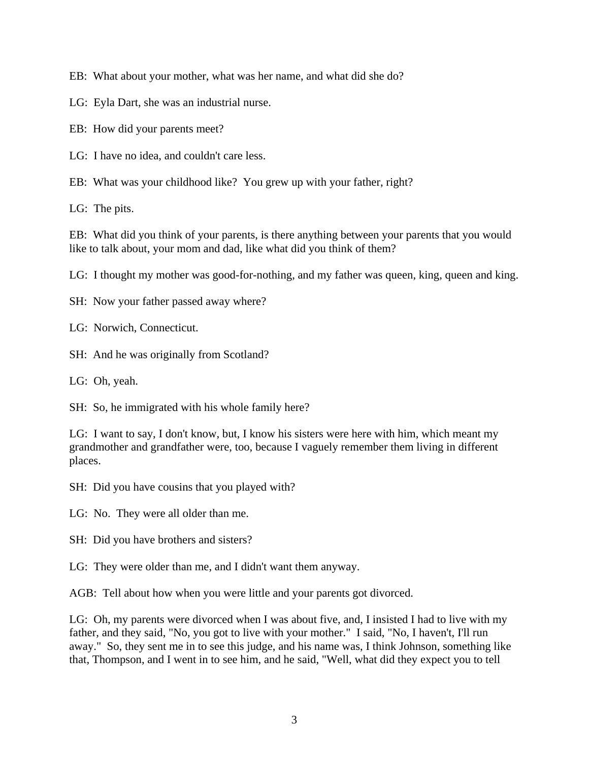EB: What about your mother, what was her name, and what did she do?

- LG: Eyla Dart, she was an industrial nurse.
- EB: How did your parents meet?
- LG: I have no idea, and couldn't care less.

EB: What was your childhood like? You grew up with your father, right?

LG: The pits.

EB: What did you think of your parents, is there anything between your parents that you would like to talk about, your mom and dad, like what did you think of them?

LG: I thought my mother was good-for-nothing, and my father was queen, king, queen and king.

- SH: Now your father passed away where?
- LG: Norwich, Connecticut.
- SH: And he was originally from Scotland?
- LG: Oh, yeah.

SH: So, he immigrated with his whole family here?

LG: I want to say, I don't know, but, I know his sisters were here with him, which meant my grandmother and grandfather were, too, because I vaguely remember them living in different places.

SH: Did you have cousins that you played with?

LG: No. They were all older than me.

- SH: Did you have brothers and sisters?
- LG: They were older than me, and I didn't want them anyway.

AGB: Tell about how when you were little and your parents got divorced.

LG: Oh, my parents were divorced when I was about five, and, I insisted I had to live with my father, and they said, "No, you got to live with your mother." I said, "No, I haven't, I'll run away." So, they sent me in to see this judge, and his name was, I think Johnson, something like that, Thompson, and I went in to see him, and he said, "Well, what did they expect you to tell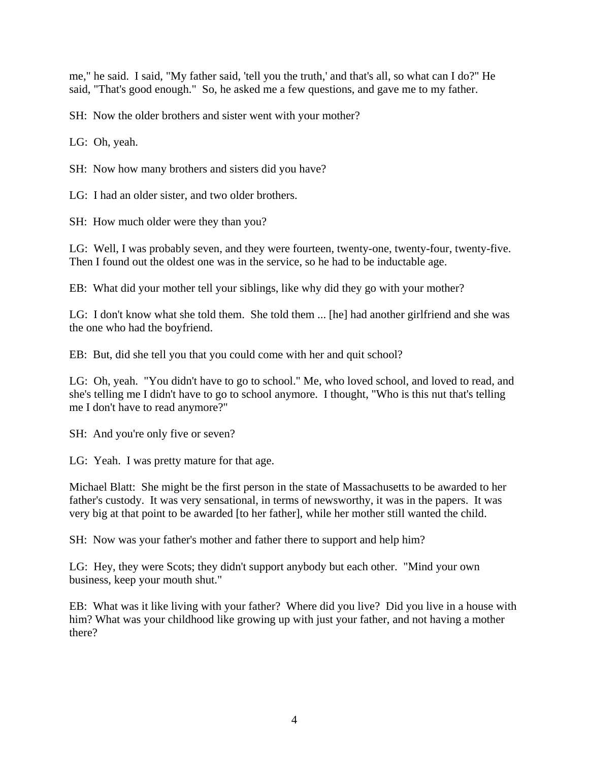me," he said. I said, "My father said, 'tell you the truth,' and that's all, so what can I do?" He said, "That's good enough." So, he asked me a few questions, and gave me to my father.

SH: Now the older brothers and sister went with your mother?

LG: Oh, yeah.

SH: Now how many brothers and sisters did you have?

LG: I had an older sister, and two older brothers.

SH: How much older were they than you?

LG: Well, I was probably seven, and they were fourteen, twenty-one, twenty-four, twenty-five. Then I found out the oldest one was in the service, so he had to be inductable age.

EB: What did your mother tell your siblings, like why did they go with your mother?

LG: I don't know what she told them. She told them ... [he] had another girlfriend and she was the one who had the boyfriend.

EB: But, did she tell you that you could come with her and quit school?

LG: Oh, yeah. "You didn't have to go to school." Me, who loved school, and loved to read, and she's telling me I didn't have to go to school anymore. I thought, "Who is this nut that's telling me I don't have to read anymore?"

SH: And you're only five or seven?

LG: Yeah. I was pretty mature for that age.

Michael Blatt: She might be the first person in the state of Massachusetts to be awarded to her father's custody. It was very sensational, in terms of newsworthy, it was in the papers. It was very big at that point to be awarded [to her father], while her mother still wanted the child.

SH: Now was your father's mother and father there to support and help him?

LG: Hey, they were Scots; they didn't support anybody but each other. "Mind your own business, keep your mouth shut."

EB: What was it like living with your father? Where did you live? Did you live in a house with him? What was your childhood like growing up with just your father, and not having a mother there?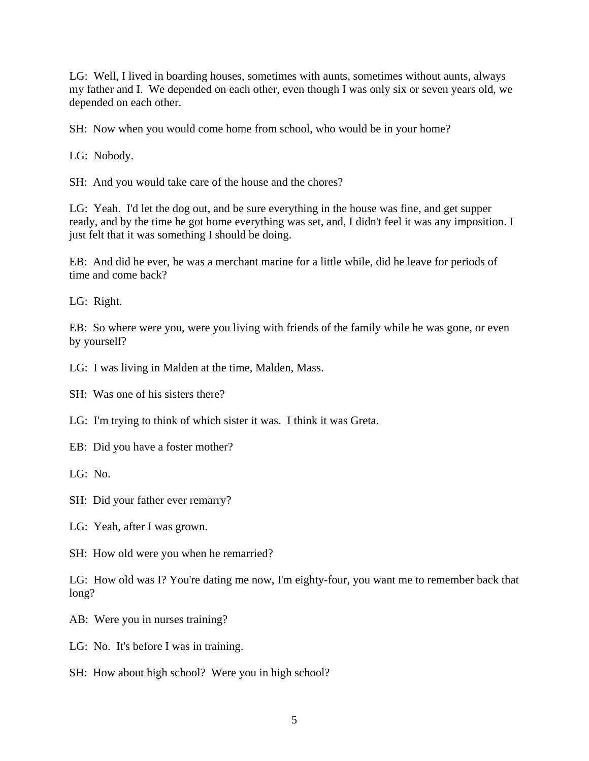LG: Well, I lived in boarding houses, sometimes with aunts, sometimes without aunts, always my father and I. We depended on each other, even though I was only six or seven years old, we depended on each other.

SH: Now when you would come home from school, who would be in your home?

LG: Nobody.

SH: And you would take care of the house and the chores?

LG: Yeah. I'd let the dog out, and be sure everything in the house was fine, and get supper ready, and by the time he got home everything was set, and, I didn't feel it was any imposition. I just felt that it was something I should be doing.

EB: And did he ever, he was a merchant marine for a little while, did he leave for periods of time and come back?

LG: Right.

EB: So where were you, were you living with friends of the family while he was gone, or even by yourself?

LG: I was living in Malden at the time, Malden, Mass.

SH: Was one of his sisters there?

LG: I'm trying to think of which sister it was. I think it was Greta.

EB: Did you have a foster mother?

LG: No.

SH: Did your father ever remarry?

LG: Yeah, after I was grown.

SH: How old were you when he remarried?

LG: How old was I? You're dating me now, I'm eighty-four, you want me to remember back that long?

AB: Were you in nurses training?

LG: No. It's before I was in training.

SH: How about high school? Were you in high school?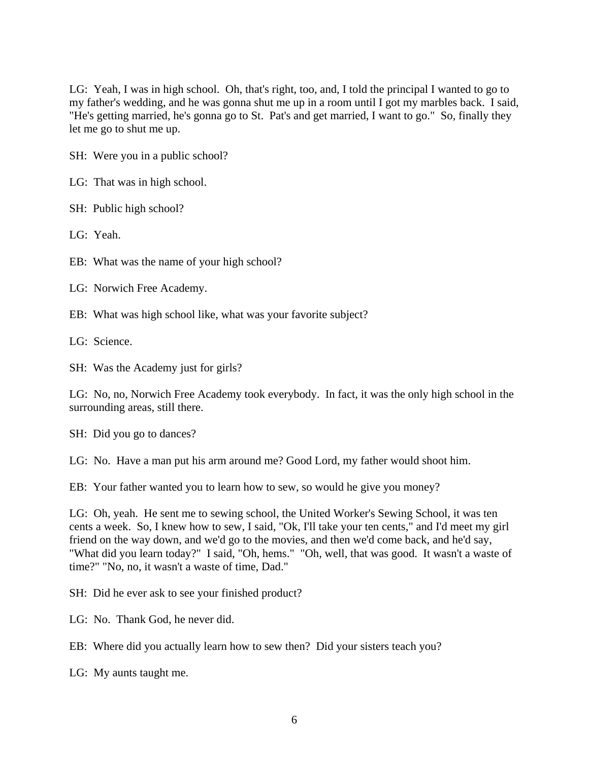LG: Yeah, I was in high school. Oh, that's right, too, and, I told the principal I wanted to go to my father's wedding, and he was gonna shut me up in a room until I got my marbles back. I said, "He's getting married, he's gonna go to St. Pat's and get married, I want to go." So, finally they let me go to shut me up.

SH: Were you in a public school?

LG: That was in high school.

SH: Public high school?

LG: Yeah.

EB: What was the name of your high school?

LG: Norwich Free Academy.

EB: What was high school like, what was your favorite subject?

LG: Science.

SH: Was the Academy just for girls?

LG: No, no, Norwich Free Academy took everybody. In fact, it was the only high school in the surrounding areas, still there.

SH: Did you go to dances?

LG: No. Have a man put his arm around me? Good Lord, my father would shoot him.

EB: Your father wanted you to learn how to sew, so would he give you money?

LG: Oh, yeah. He sent me to sewing school, the United Worker's Sewing School, it was ten cents a week. So, I knew how to sew, I said, "Ok, I'll take your ten cents," and I'd meet my girl friend on the way down, and we'd go to the movies, and then we'd come back, and he'd say, "What did you learn today?" I said, "Oh, hems." "Oh, well, that was good. It wasn't a waste of time?" "No, no, it wasn't a waste of time, Dad."

SH: Did he ever ask to see your finished product?

LG: No. Thank God, he never did.

EB: Where did you actually learn how to sew then? Did your sisters teach you?

LG: My aunts taught me.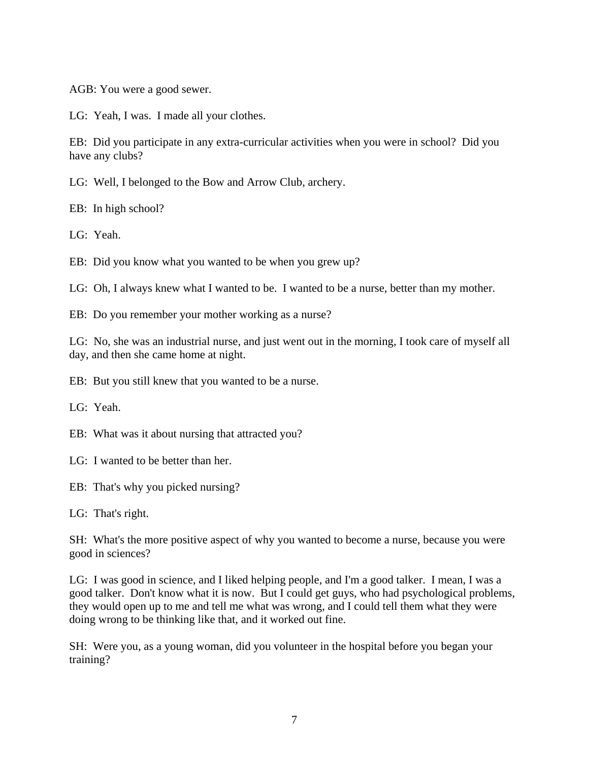AGB: You were a good sewer.

LG: Yeah, I was. I made all your clothes.

EB: Did you participate in any extra-curricular activities when you were in school? Did you have any clubs?

LG: Well, I belonged to the Bow and Arrow Club, archery.

EB: In high school?

LG: Yeah.

EB: Did you know what you wanted to be when you grew up?

LG: Oh, I always knew what I wanted to be. I wanted to be a nurse, better than my mother.

EB: Do you remember your mother working as a nurse?

LG: No, she was an industrial nurse, and just went out in the morning, I took care of myself all day, and then she came home at night.

EB: But you still knew that you wanted to be a nurse.

LG: Yeah.

EB: What was it about nursing that attracted you?

LG: I wanted to be better than her.

EB: That's why you picked nursing?

LG: That's right.

SH: What's the more positive aspect of why you wanted to become a nurse, because you were good in sciences?

LG: I was good in science, and I liked helping people, and I'm a good talker. I mean, I was a good talker. Don't know what it is now. But I could get guys, who had psychological problems, they would open up to me and tell me what was wrong, and I could tell them what they were doing wrong to be thinking like that, and it worked out fine.

SH: Were you, as a young woman, did you volunteer in the hospital before you began your training?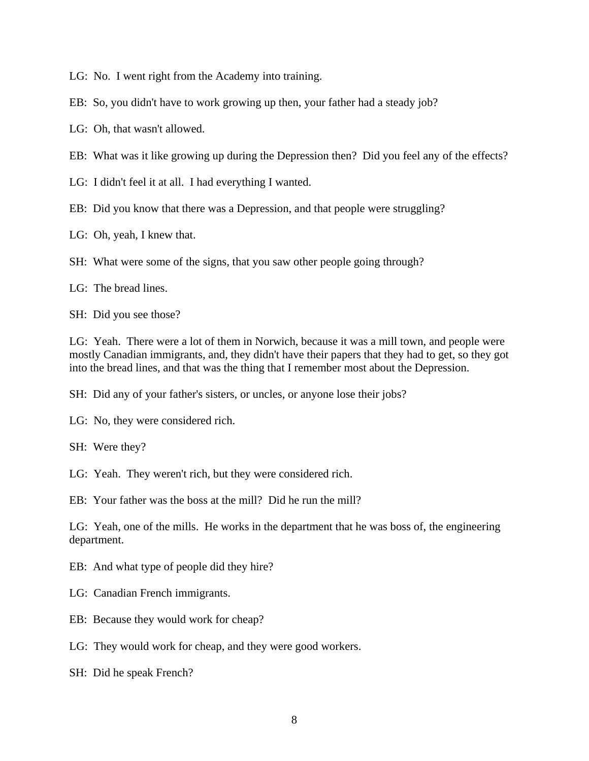LG: No. I went right from the Academy into training.

EB: So, you didn't have to work growing up then, your father had a steady job?

LG: Oh, that wasn't allowed.

EB: What was it like growing up during the Depression then? Did you feel any of the effects?

LG: I didn't feel it at all. I had everything I wanted.

EB: Did you know that there was a Depression, and that people were struggling?

LG: Oh, yeah, I knew that.

SH: What were some of the signs, that you saw other people going through?

LG: The bread lines.

SH: Did you see those?

LG: Yeah. There were a lot of them in Norwich, because it was a mill town, and people were mostly Canadian immigrants, and, they didn't have their papers that they had to get, so they got into the bread lines, and that was the thing that I remember most about the Depression.

SH: Did any of your father's sisters, or uncles, or anyone lose their jobs?

LG: No, they were considered rich.

SH: Were they?

LG: Yeah. They weren't rich, but they were considered rich.

EB: Your father was the boss at the mill? Did he run the mill?

LG: Yeah, one of the mills. He works in the department that he was boss of, the engineering department.

EB: And what type of people did they hire?

LG: Canadian French immigrants.

EB: Because they would work for cheap?

LG: They would work for cheap, and they were good workers.

SH: Did he speak French?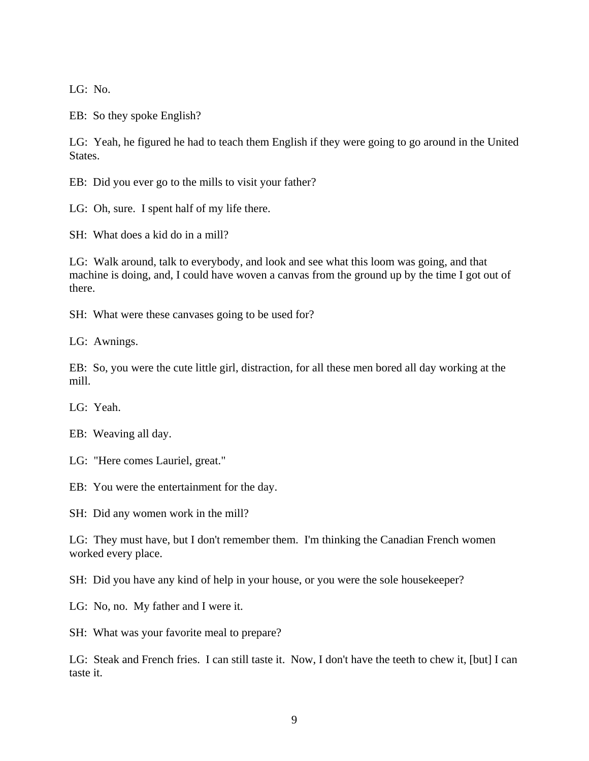LG: No.

EB: So they spoke English?

LG: Yeah, he figured he had to teach them English if they were going to go around in the United States.

EB: Did you ever go to the mills to visit your father?

LG: Oh, sure. I spent half of my life there.

SH: What does a kid do in a mill?

LG: Walk around, talk to everybody, and look and see what this loom was going, and that machine is doing, and, I could have woven a canvas from the ground up by the time I got out of there.

SH: What were these canvases going to be used for?

LG: Awnings.

EB: So, you were the cute little girl, distraction, for all these men bored all day working at the mill.

LG: Yeah.

LG: "Here comes Lauriel, great."

EB: You were the entertainment for the day.

SH: Did any women work in the mill?

LG: They must have, but I don't remember them. I'm thinking the Canadian French women worked every place.

SH: Did you have any kind of help in your house, or you were the sole housekeeper?

LG: No, no. My father and I were it.

SH: What was your favorite meal to prepare?

LG: Steak and French fries. I can still taste it. Now, I don't have the teeth to chew it, [but] I can taste it.

EB: Weaving all day.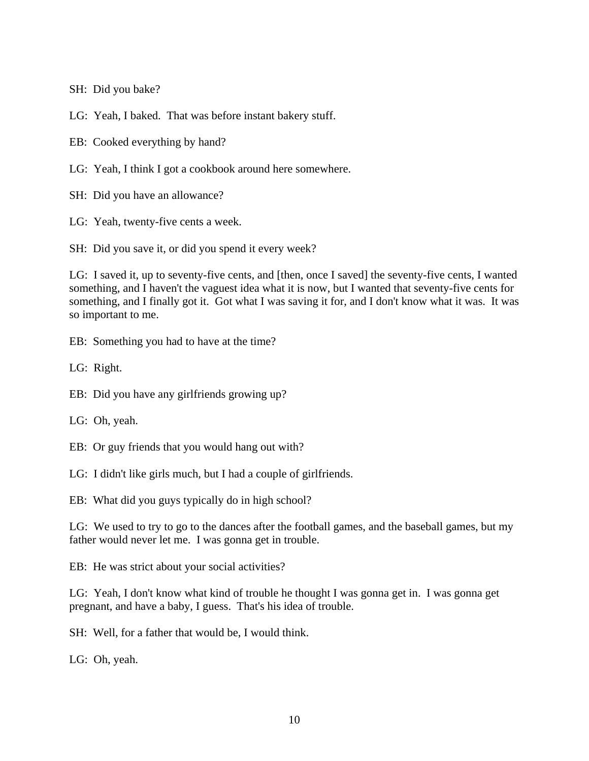SH: Did you bake?

LG: Yeah, I baked. That was before instant bakery stuff.

EB: Cooked everything by hand?

- LG: Yeah, I think I got a cookbook around here somewhere.
- SH: Did you have an allowance?
- LG: Yeah, twenty-five cents a week.

SH: Did you save it, or did you spend it every week?

LG: I saved it, up to seventy-five cents, and [then, once I saved] the seventy-five cents, I wanted something, and I haven't the vaguest idea what it is now, but I wanted that seventy-five cents for something, and I finally got it. Got what I was saving it for, and I don't know what it was. It was so important to me.

EB: Something you had to have at the time?

LG: Right.

- EB: Did you have any girlfriends growing up?
- LG: Oh, yeah.
- EB: Or guy friends that you would hang out with?
- LG: I didn't like girls much, but I had a couple of girlfriends.

EB: What did you guys typically do in high school?

LG: We used to try to go to the dances after the football games, and the baseball games, but my father would never let me. I was gonna get in trouble.

EB: He was strict about your social activities?

LG: Yeah, I don't know what kind of trouble he thought I was gonna get in. I was gonna get pregnant, and have a baby, I guess. That's his idea of trouble.

SH: Well, for a father that would be, I would think.

LG: Oh, yeah.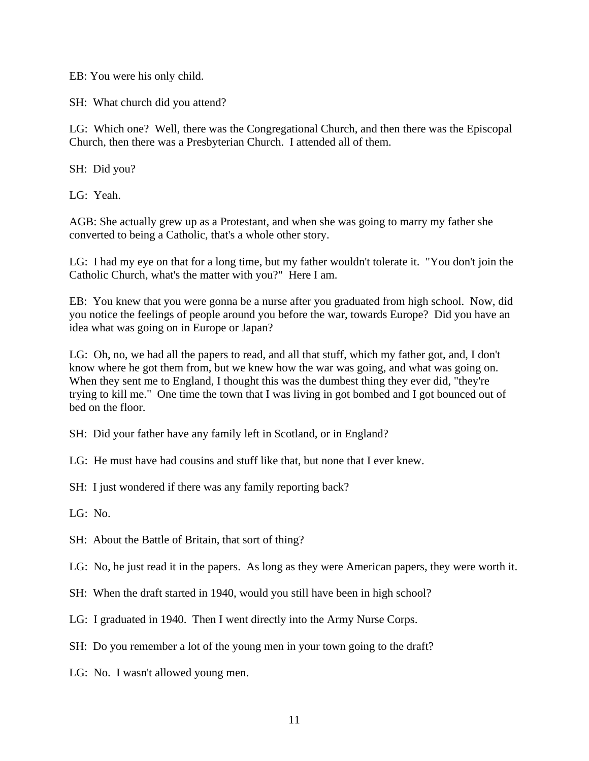EB: You were his only child.

SH: What church did you attend?

LG: Which one? Well, there was the Congregational Church, and then there was the Episcopal Church, then there was a Presbyterian Church. I attended all of them.

SH: Did you?

LG: Yeah.

AGB: She actually grew up as a Protestant, and when she was going to marry my father she converted to being a Catholic, that's a whole other story.

LG: I had my eye on that for a long time, but my father wouldn't tolerate it. "You don't join the Catholic Church, what's the matter with you?" Here I am.

EB: You knew that you were gonna be a nurse after you graduated from high school. Now, did you notice the feelings of people around you before the war, towards Europe? Did you have an idea what was going on in Europe or Japan?

LG: Oh, no, we had all the papers to read, and all that stuff, which my father got, and, I don't know where he got them from, but we knew how the war was going, and what was going on. When they sent me to England, I thought this was the dumbest thing they ever did, "they're trying to kill me." One time the town that I was living in got bombed and I got bounced out of bed on the floor.

SH: Did your father have any family left in Scotland, or in England?

LG: He must have had cousins and stuff like that, but none that I ever knew.

SH: I just wondered if there was any family reporting back?

LG: No.

SH: About the Battle of Britain, that sort of thing?

LG: No, he just read it in the papers. As long as they were American papers, they were worth it.

SH: When the draft started in 1940, would you still have been in high school?

LG: I graduated in 1940. Then I went directly into the Army Nurse Corps.

SH: Do you remember a lot of the young men in your town going to the draft?

LG: No. I wasn't allowed young men.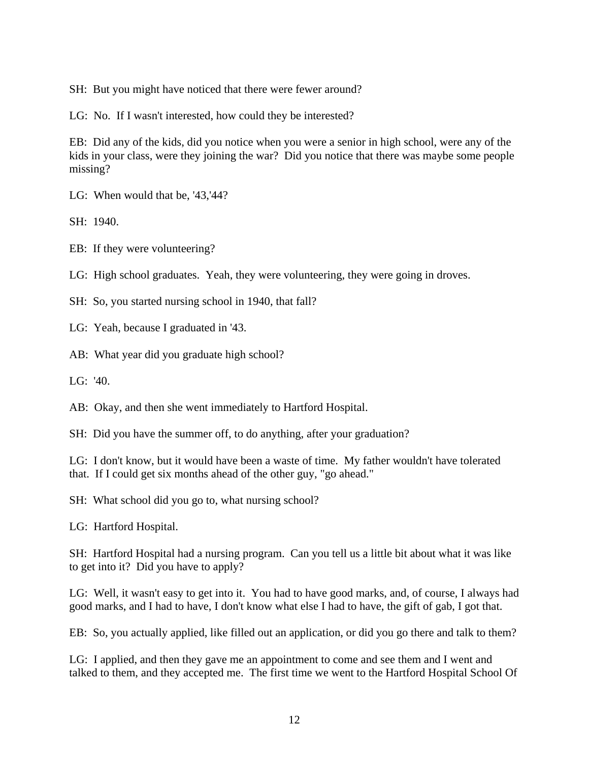SH: But you might have noticed that there were fewer around?

LG: No. If I wasn't interested, how could they be interested?

EB: Did any of the kids, did you notice when you were a senior in high school, were any of the kids in your class, were they joining the war? Did you notice that there was maybe some people missing?

LG: When would that be, '43,'44?

SH: 1940.

EB: If they were volunteering?

LG: High school graduates. Yeah, they were volunteering, they were going in droves.

SH: So, you started nursing school in 1940, that fall?

LG: Yeah, because I graduated in '43.

AB: What year did you graduate high school?

LG:  $'40$ .

AB: Okay, and then she went immediately to Hartford Hospital.

SH: Did you have the summer off, to do anything, after your graduation?

LG: I don't know, but it would have been a waste of time. My father wouldn't have tolerated that. If I could get six months ahead of the other guy, "go ahead."

SH: What school did you go to, what nursing school?

LG: Hartford Hospital.

SH: Hartford Hospital had a nursing program. Can you tell us a little bit about what it was like to get into it? Did you have to apply?

LG: Well, it wasn't easy to get into it. You had to have good marks, and, of course, I always had good marks, and I had to have, I don't know what else I had to have, the gift of gab, I got that.

EB: So, you actually applied, like filled out an application, or did you go there and talk to them?

LG: I applied, and then they gave me an appointment to come and see them and I went and talked to them, and they accepted me. The first time we went to the Hartford Hospital School Of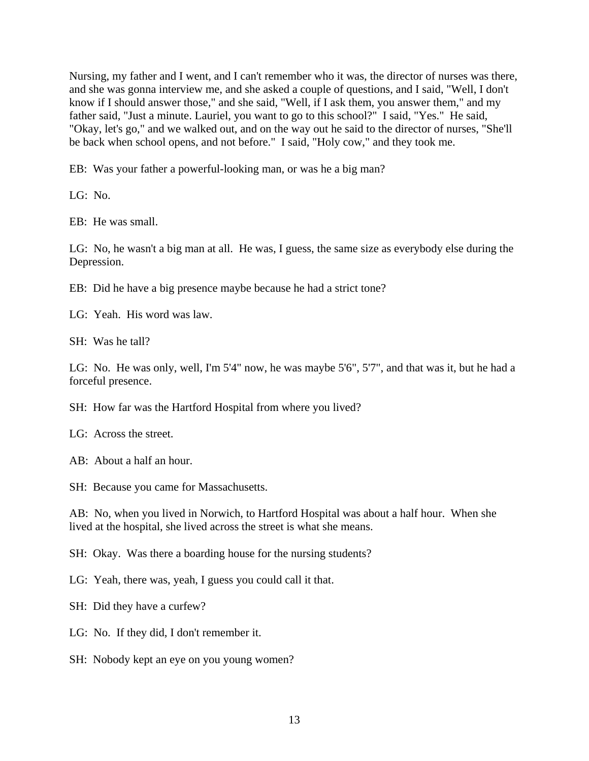Nursing, my father and I went, and I can't remember who it was, the director of nurses was there, and she was gonna interview me, and she asked a couple of questions, and I said, "Well, I don't know if I should answer those," and she said, "Well, if I ask them, you answer them," and my father said, "Just a minute. Lauriel, you want to go to this school?" I said, "Yes." He said, "Okay, let's go," and we walked out, and on the way out he said to the director of nurses, "She'll be back when school opens, and not before." I said, "Holy cow," and they took me.

EB: Was your father a powerful-looking man, or was he a big man?

LG: No.

EB: He was small.

LG: No, he wasn't a big man at all. He was, I guess, the same size as everybody else during the Depression.

EB: Did he have a big presence maybe because he had a strict tone?

LG: Yeah. His word was law.

SH: Was he tall?

LG: No. He was only, well, I'm 5'4" now, he was maybe 5'6", 5'7", and that was it, but he had a forceful presence.

SH: How far was the Hartford Hospital from where you lived?

LG: Across the street.

AB: About a half an hour.

SH: Because you came for Massachusetts.

AB: No, when you lived in Norwich, to Hartford Hospital was about a half hour. When she lived at the hospital, she lived across the street is what she means.

SH: Okay. Was there a boarding house for the nursing students?

LG: Yeah, there was, yeah, I guess you could call it that.

SH: Did they have a curfew?

LG: No. If they did, I don't remember it.

SH: Nobody kept an eye on you young women?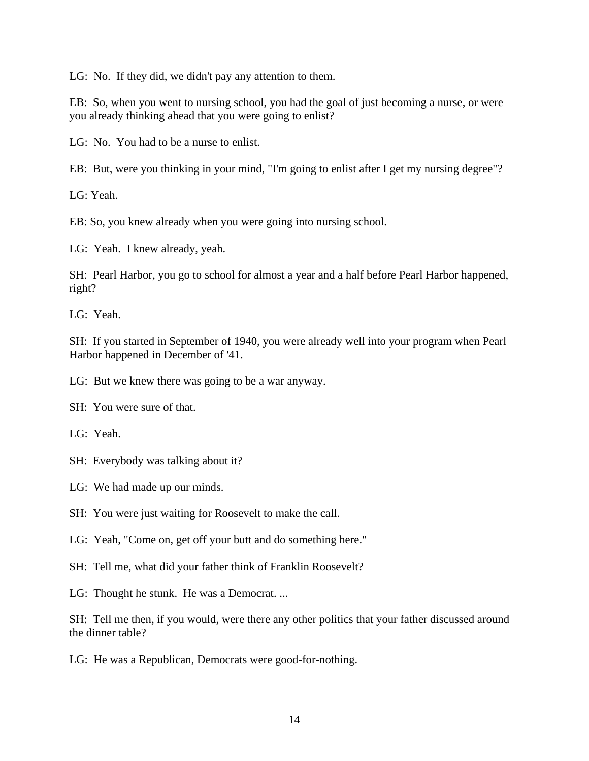LG: No. If they did, we didn't pay any attention to them.

EB: So, when you went to nursing school, you had the goal of just becoming a nurse, or were you already thinking ahead that you were going to enlist?

LG: No. You had to be a nurse to enlist.

EB: But, were you thinking in your mind, "I'm going to enlist after I get my nursing degree"?

LG: Yeah.

EB: So, you knew already when you were going into nursing school.

LG: Yeah. I knew already, yeah.

SH: Pearl Harbor, you go to school for almost a year and a half before Pearl Harbor happened, right?

LG: Yeah.

SH: If you started in September of 1940, you were already well into your program when Pearl Harbor happened in December of '41.

LG: But we knew there was going to be a war anyway.

SH: You were sure of that.

LG: Yeah.

SH: Everybody was talking about it?

LG: We had made up our minds.

SH: You were just waiting for Roosevelt to make the call.

LG: Yeah, "Come on, get off your butt and do something here."

SH: Tell me, what did your father think of Franklin Roosevelt?

LG: Thought he stunk. He was a Democrat. ...

SH: Tell me then, if you would, were there any other politics that your father discussed around the dinner table?

LG: He was a Republican, Democrats were good-for-nothing.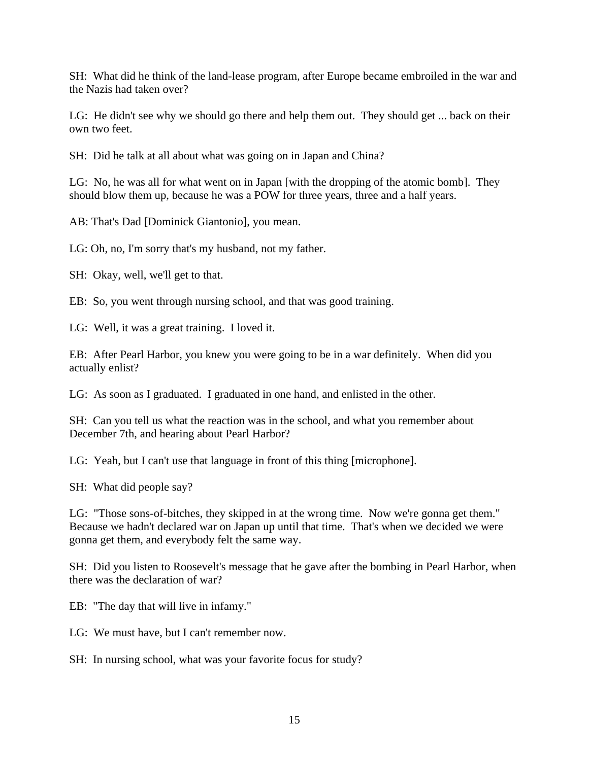SH: What did he think of the land-lease program, after Europe became embroiled in the war and the Nazis had taken over?

LG: He didn't see why we should go there and help them out. They should get ... back on their own two feet.

SH: Did he talk at all about what was going on in Japan and China?

LG: No, he was all for what went on in Japan [with the dropping of the atomic bomb]. They should blow them up, because he was a POW for three years, three and a half years.

AB: That's Dad [Dominick Giantonio], you mean.

LG: Oh, no, I'm sorry that's my husband, not my father.

SH: Okay, well, we'll get to that.

EB: So, you went through nursing school, and that was good training.

LG: Well, it was a great training. I loved it.

EB: After Pearl Harbor, you knew you were going to be in a war definitely. When did you actually enlist?

LG: As soon as I graduated. I graduated in one hand, and enlisted in the other.

SH: Can you tell us what the reaction was in the school, and what you remember about December 7th, and hearing about Pearl Harbor?

LG: Yeah, but I can't use that language in front of this thing [microphone].

SH: What did people say?

LG: "Those sons-of-bitches, they skipped in at the wrong time. Now we're gonna get them." Because we hadn't declared war on Japan up until that time. That's when we decided we were gonna get them, and everybody felt the same way.

SH: Did you listen to Roosevelt's message that he gave after the bombing in Pearl Harbor, when there was the declaration of war?

EB: "The day that will live in infamy."

LG: We must have, but I can't remember now.

SH: In nursing school, what was your favorite focus for study?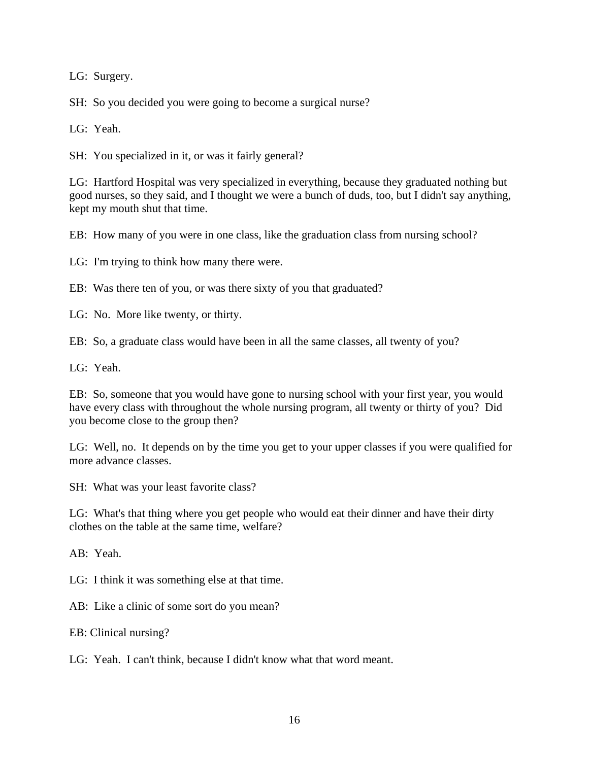LG: Surgery.

SH: So you decided you were going to become a surgical nurse?

LG: Yeah.

SH: You specialized in it, or was it fairly general?

LG: Hartford Hospital was very specialized in everything, because they graduated nothing but good nurses, so they said, and I thought we were a bunch of duds, too, but I didn't say anything, kept my mouth shut that time.

EB: How many of you were in one class, like the graduation class from nursing school?

LG: I'm trying to think how many there were.

EB: Was there ten of you, or was there sixty of you that graduated?

LG: No. More like twenty, or thirty.

EB: So, a graduate class would have been in all the same classes, all twenty of you?

LG: Yeah.

EB: So, someone that you would have gone to nursing school with your first year, you would have every class with throughout the whole nursing program, all twenty or thirty of you? Did you become close to the group then?

LG: Well, no. It depends on by the time you get to your upper classes if you were qualified for more advance classes.

SH: What was your least favorite class?

LG: What's that thing where you get people who would eat their dinner and have their dirty clothes on the table at the same time, welfare?

AB: Yeah.

LG: I think it was something else at that time.

AB: Like a clinic of some sort do you mean?

EB: Clinical nursing?

LG: Yeah. I can't think, because I didn't know what that word meant.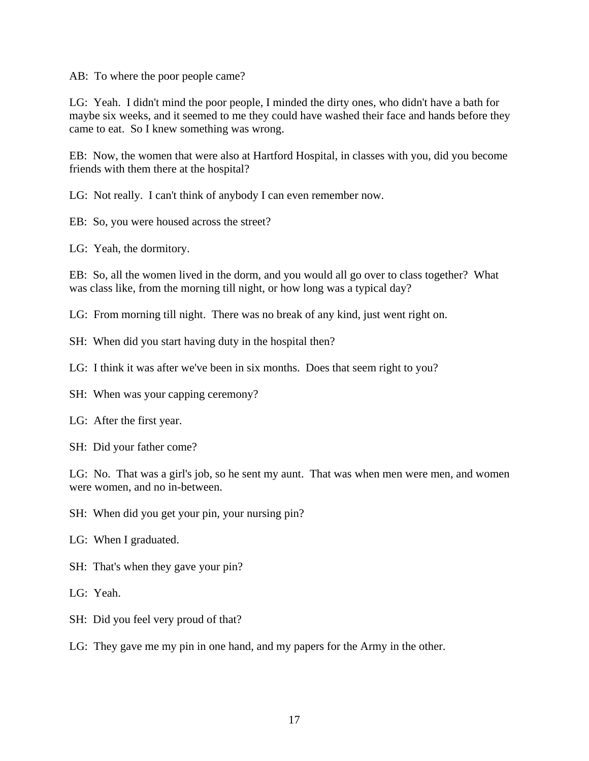AB: To where the poor people came?

LG: Yeah. I didn't mind the poor people, I minded the dirty ones, who didn't have a bath for maybe six weeks, and it seemed to me they could have washed their face and hands before they came to eat. So I knew something was wrong.

EB: Now, the women that were also at Hartford Hospital, in classes with you, did you become friends with them there at the hospital?

LG: Not really. I can't think of anybody I can even remember now.

EB: So, you were housed across the street?

LG: Yeah, the dormitory.

EB: So, all the women lived in the dorm, and you would all go over to class together? What was class like, from the morning till night, or how long was a typical day?

LG: From morning till night. There was no break of any kind, just went right on.

- SH: When did you start having duty in the hospital then?
- LG: I think it was after we've been in six months. Does that seem right to you?
- SH: When was your capping ceremony?
- LG: After the first year.
- SH: Did your father come?

LG: No. That was a girl's job, so he sent my aunt. That was when men were men, and women were women, and no in-between.

SH: When did you get your pin, your nursing pin?

- LG: When I graduated.
- SH: That's when they gave your pin?
- LG: Yeah.
- SH: Did you feel very proud of that?

LG: They gave me my pin in one hand, and my papers for the Army in the other.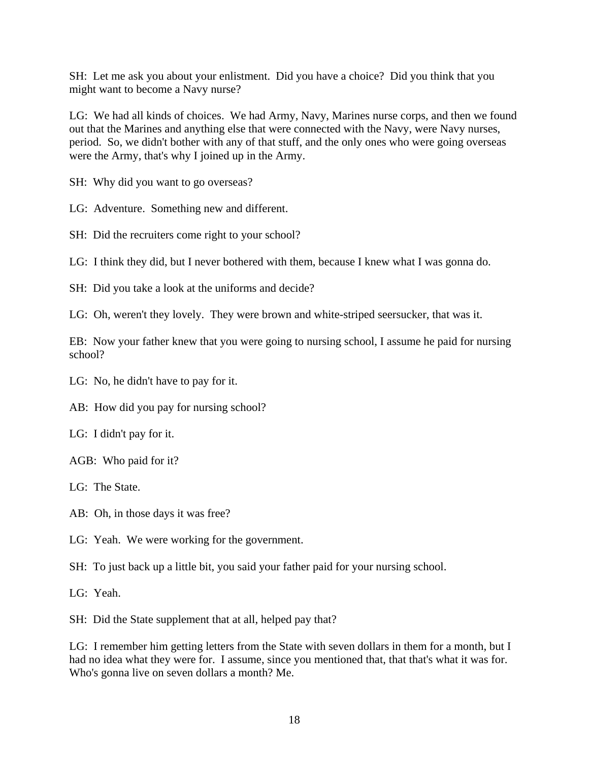SH: Let me ask you about your enlistment. Did you have a choice? Did you think that you might want to become a Navy nurse?

LG: We had all kinds of choices. We had Army, Navy, Marines nurse corps, and then we found out that the Marines and anything else that were connected with the Navy, were Navy nurses, period. So, we didn't bother with any of that stuff, and the only ones who were going overseas were the Army, that's why I joined up in the Army.

SH: Why did you want to go overseas?

LG: Adventure. Something new and different.

SH: Did the recruiters come right to your school?

LG: I think they did, but I never bothered with them, because I knew what I was gonna do.

SH: Did you take a look at the uniforms and decide?

LG: Oh, weren't they lovely. They were brown and white-striped seersucker, that was it.

EB: Now your father knew that you were going to nursing school, I assume he paid for nursing school?

LG: No, he didn't have to pay for it.

AB: How did you pay for nursing school?

LG: I didn't pay for it.

AGB: Who paid for it?

LG: The State.

AB: Oh, in those days it was free?

LG: Yeah. We were working for the government.

SH: To just back up a little bit, you said your father paid for your nursing school.

LG: Yeah.

SH: Did the State supplement that at all, helped pay that?

LG: I remember him getting letters from the State with seven dollars in them for a month, but I had no idea what they were for. I assume, since you mentioned that, that that's what it was for. Who's gonna live on seven dollars a month? Me.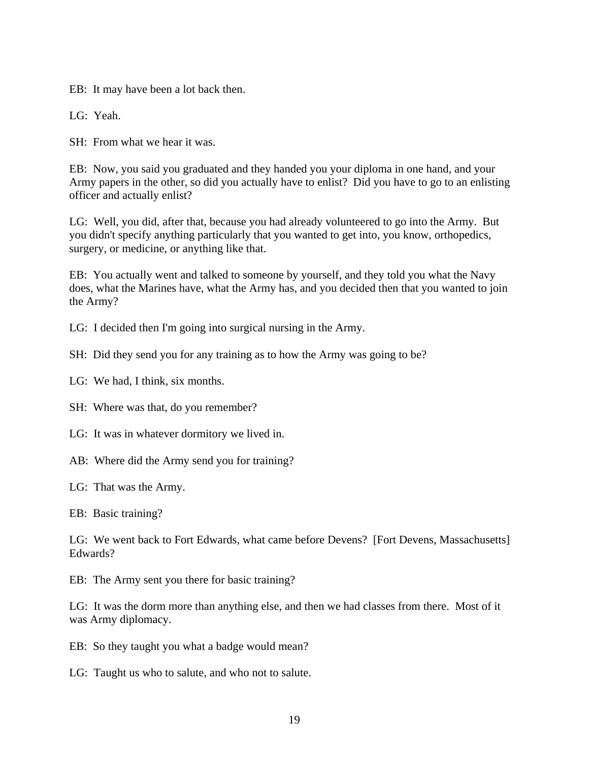EB: It may have been a lot back then.

LG: Yeah.

SH: From what we hear it was.

EB: Now, you said you graduated and they handed you your diploma in one hand, and your Army papers in the other, so did you actually have to enlist? Did you have to go to an enlisting officer and actually enlist?

LG: Well, you did, after that, because you had already volunteered to go into the Army. But you didn't specify anything particularly that you wanted to get into, you know, orthopedics, surgery, or medicine, or anything like that.

EB: You actually went and talked to someone by yourself, and they told you what the Navy does, what the Marines have, what the Army has, and you decided then that you wanted to join the Army?

LG: I decided then I'm going into surgical nursing in the Army.

SH: Did they send you for any training as to how the Army was going to be?

LG: We had, I think, six months.

SH: Where was that, do you remember?

LG: It was in whatever dormitory we lived in.

AB: Where did the Army send you for training?

LG: That was the Army.

EB: Basic training?

LG: We went back to Fort Edwards, what came before Devens? [Fort Devens, Massachusetts] Edwards?

EB: The Army sent you there for basic training?

LG: It was the dorm more than anything else, and then we had classes from there. Most of it was Army diplomacy.

EB: So they taught you what a badge would mean?

LG: Taught us who to salute, and who not to salute.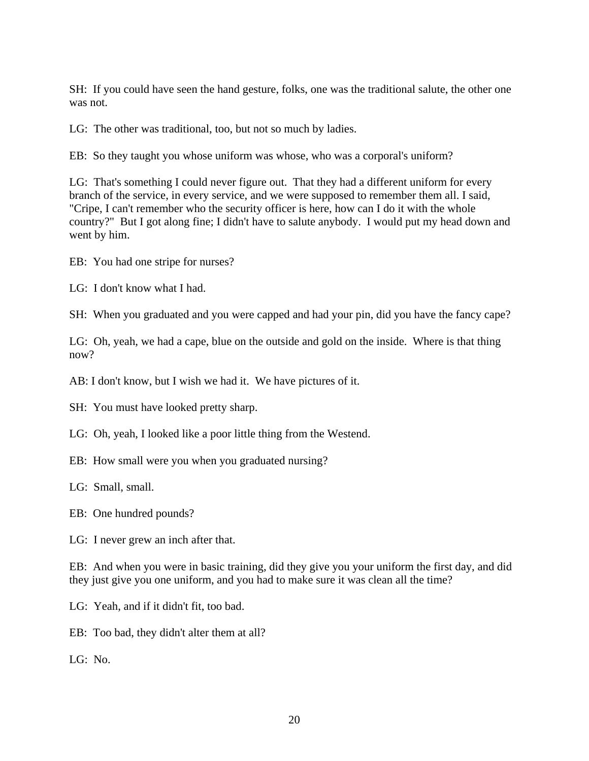SH: If you could have seen the hand gesture, folks, one was the traditional salute, the other one was not.

LG: The other was traditional, too, but not so much by ladies.

EB: So they taught you whose uniform was whose, who was a corporal's uniform?

LG: That's something I could never figure out. That they had a different uniform for every branch of the service, in every service, and we were supposed to remember them all. I said, "Cripe, I can't remember who the security officer is here, how can I do it with the whole country?" But I got along fine; I didn't have to salute anybody. I would put my head down and went by him.

EB: You had one stripe for nurses?

LG: I don't know what I had.

SH: When you graduated and you were capped and had your pin, did you have the fancy cape?

LG: Oh, yeah, we had a cape, blue on the outside and gold on the inside. Where is that thing now?

AB: I don't know, but I wish we had it. We have pictures of it.

SH: You must have looked pretty sharp.

LG: Oh, yeah, I looked like a poor little thing from the Westend.

EB: How small were you when you graduated nursing?

LG: Small, small.

EB: One hundred pounds?

LG: I never grew an inch after that.

EB: And when you were in basic training, did they give you your uniform the first day, and did they just give you one uniform, and you had to make sure it was clean all the time?

LG: Yeah, and if it didn't fit, too bad.

EB: Too bad, they didn't alter them at all?

LG: No.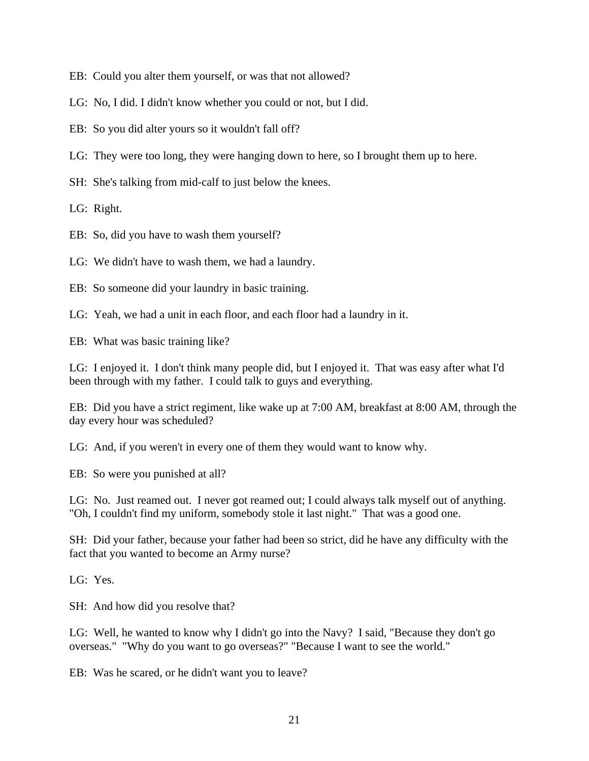EB: Could you alter them yourself, or was that not allowed?

LG: No, I did. I didn't know whether you could or not, but I did.

EB: So you did alter yours so it wouldn't fall off?

LG: They were too long, they were hanging down to here, so I brought them up to here.

SH: She's talking from mid-calf to just below the knees.

LG: Right.

EB: So, did you have to wash them yourself?

LG: We didn't have to wash them, we had a laundry.

EB: So someone did your laundry in basic training.

LG: Yeah, we had a unit in each floor, and each floor had a laundry in it.

EB: What was basic training like?

LG: I enjoyed it. I don't think many people did, but I enjoyed it. That was easy after what I'd been through with my father. I could talk to guys and everything.

EB: Did you have a strict regiment, like wake up at 7:00 AM, breakfast at 8:00 AM, through the day every hour was scheduled?

LG: And, if you weren't in every one of them they would want to know why.

EB: So were you punished at all?

LG: No. Just reamed out. I never got reamed out; I could always talk myself out of anything. "Oh, I couldn't find my uniform, somebody stole it last night." That was a good one.

SH: Did your father, because your father had been so strict, did he have any difficulty with the fact that you wanted to become an Army nurse?

LG: Yes.

SH: And how did you resolve that?

LG: Well, he wanted to know why I didn't go into the Navy? I said, "Because they don't go overseas." "Why do you want to go overseas?" "Because I want to see the world."

EB: Was he scared, or he didn't want you to leave?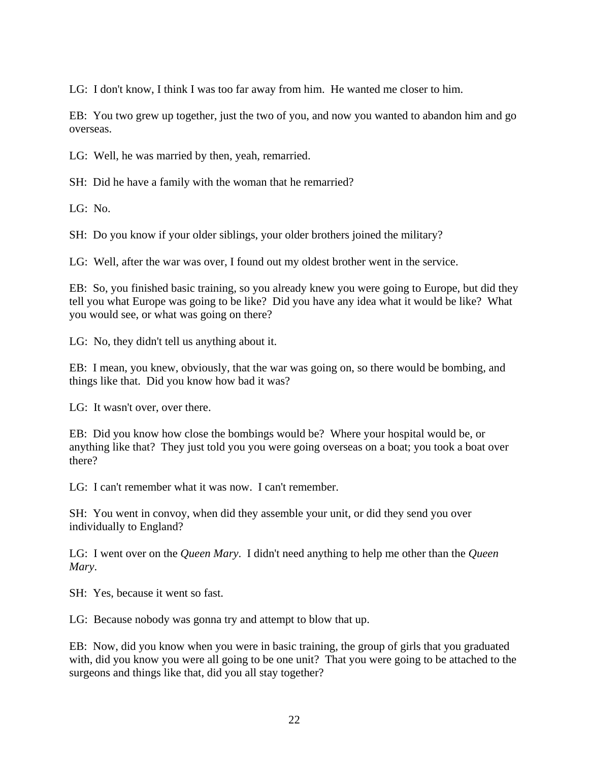LG: I don't know, I think I was too far away from him. He wanted me closer to him.

EB: You two grew up together, just the two of you, and now you wanted to abandon him and go overseas.

LG: Well, he was married by then, yeah, remarried.

SH: Did he have a family with the woman that he remarried?

 $LG: No.$ 

SH: Do you know if your older siblings, your older brothers joined the military?

LG: Well, after the war was over, I found out my oldest brother went in the service.

EB: So, you finished basic training, so you already knew you were going to Europe, but did they tell you what Europe was going to be like? Did you have any idea what it would be like? What you would see, or what was going on there?

LG: No, they didn't tell us anything about it.

EB: I mean, you knew, obviously, that the war was going on, so there would be bombing, and things like that. Did you know how bad it was?

LG: It wasn't over, over there.

EB: Did you know how close the bombings would be? Where your hospital would be, or anything like that? They just told you you were going overseas on a boat; you took a boat over there?

LG: I can't remember what it was now. I can't remember.

SH: You went in convoy, when did they assemble your unit, or did they send you over individually to England?

LG: I went over on the *Queen Mary*. I didn't need anything to help me other than the *Queen Mary*.

SH: Yes, because it went so fast.

LG: Because nobody was gonna try and attempt to blow that up.

EB: Now, did you know when you were in basic training, the group of girls that you graduated with, did you know you were all going to be one unit? That you were going to be attached to the surgeons and things like that, did you all stay together?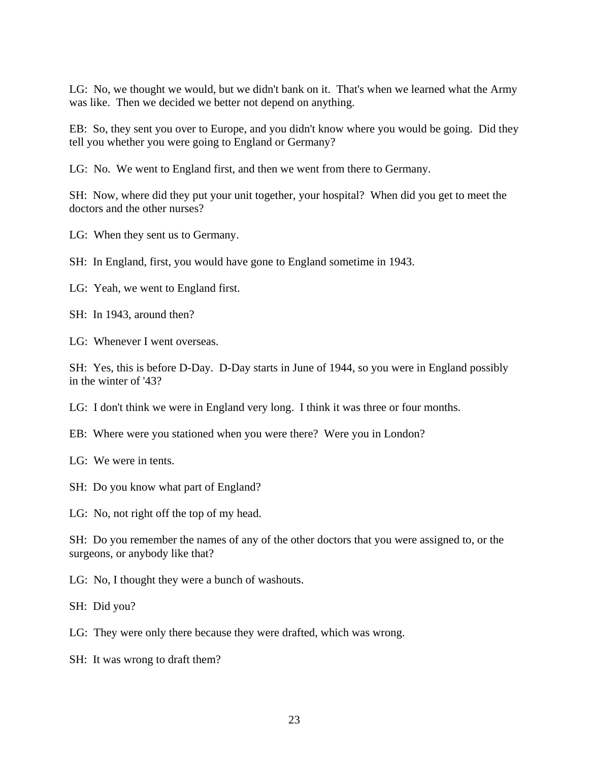LG: No, we thought we would, but we didn't bank on it. That's when we learned what the Army was like. Then we decided we better not depend on anything.

EB: So, they sent you over to Europe, and you didn't know where you would be going. Did they tell you whether you were going to England or Germany?

LG: No. We went to England first, and then we went from there to Germany.

SH: Now, where did they put your unit together, your hospital? When did you get to meet the doctors and the other nurses?

LG: When they sent us to Germany.

SH: In England, first, you would have gone to England sometime in 1943.

LG: Yeah, we went to England first.

SH: In 1943, around then?

LG: Whenever I went overseas.

SH: Yes, this is before D-Day. D-Day starts in June of 1944, so you were in England possibly in the winter of '43?

LG: I don't think we were in England very long. I think it was three or four months.

EB: Where were you stationed when you were there? Were you in London?

LG: We were in tents.

SH: Do you know what part of England?

LG: No, not right off the top of my head.

SH: Do you remember the names of any of the other doctors that you were assigned to, or the surgeons, or anybody like that?

LG: No, I thought they were a bunch of washouts.

SH: Did you?

LG: They were only there because they were drafted, which was wrong.

SH: It was wrong to draft them?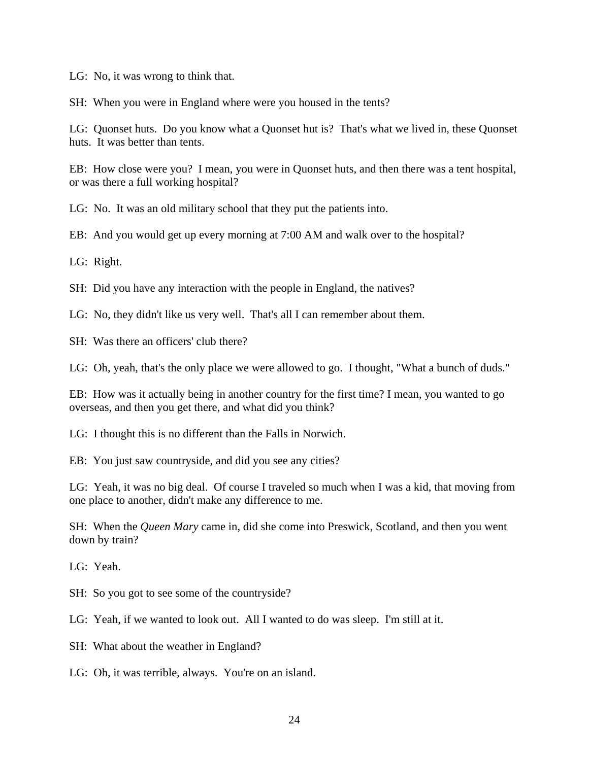LG: No, it was wrong to think that.

SH: When you were in England where were you housed in the tents?

LG: Quonset huts. Do you know what a Quonset hut is? That's what we lived in, these Quonset huts. It was better than tents.

EB: How close were you? I mean, you were in Quonset huts, and then there was a tent hospital, or was there a full working hospital?

LG: No. It was an old military school that they put the patients into.

EB: And you would get up every morning at 7:00 AM and walk over to the hospital?

LG: Right.

SH: Did you have any interaction with the people in England, the natives?

LG: No, they didn't like us very well. That's all I can remember about them.

SH: Was there an officers' club there?

LG: Oh, yeah, that's the only place we were allowed to go. I thought, "What a bunch of duds."

EB: How was it actually being in another country for the first time? I mean, you wanted to go overseas, and then you get there, and what did you think?

LG: I thought this is no different than the Falls in Norwich.

EB: You just saw countryside, and did you see any cities?

LG: Yeah, it was no big deal. Of course I traveled so much when I was a kid, that moving from one place to another, didn't make any difference to me.

SH: When the *Queen Mary* came in, did she come into Preswick, Scotland, and then you went down by train?

LG: Yeah.

SH: So you got to see some of the countryside?

LG: Yeah, if we wanted to look out. All I wanted to do was sleep. I'm still at it.

SH: What about the weather in England?

LG: Oh, it was terrible, always. You're on an island.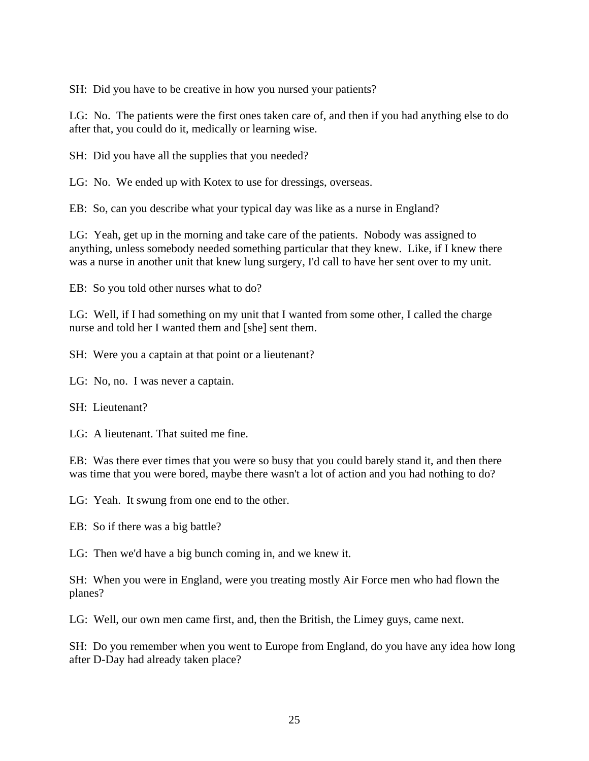SH: Did you have to be creative in how you nursed your patients?

LG: No. The patients were the first ones taken care of, and then if you had anything else to do after that, you could do it, medically or learning wise.

SH: Did you have all the supplies that you needed?

LG: No. We ended up with Kotex to use for dressings, overseas.

EB: So, can you describe what your typical day was like as a nurse in England?

LG: Yeah, get up in the morning and take care of the patients. Nobody was assigned to anything, unless somebody needed something particular that they knew. Like, if I knew there was a nurse in another unit that knew lung surgery, I'd call to have her sent over to my unit.

EB: So you told other nurses what to do?

LG: Well, if I had something on my unit that I wanted from some other, I called the charge nurse and told her I wanted them and [she] sent them.

SH: Were you a captain at that point or a lieutenant?

LG: No, no. I was never a captain.

SH: Lieutenant?

LG: A lieutenant. That suited me fine.

EB: Was there ever times that you were so busy that you could barely stand it, and then there was time that you were bored, maybe there wasn't a lot of action and you had nothing to do?

LG: Yeah. It swung from one end to the other.

EB: So if there was a big battle?

LG: Then we'd have a big bunch coming in, and we knew it.

SH: When you were in England, were you treating mostly Air Force men who had flown the planes?

LG: Well, our own men came first, and, then the British, the Limey guys, came next.

SH: Do you remember when you went to Europe from England, do you have any idea how long after D-Day had already taken place?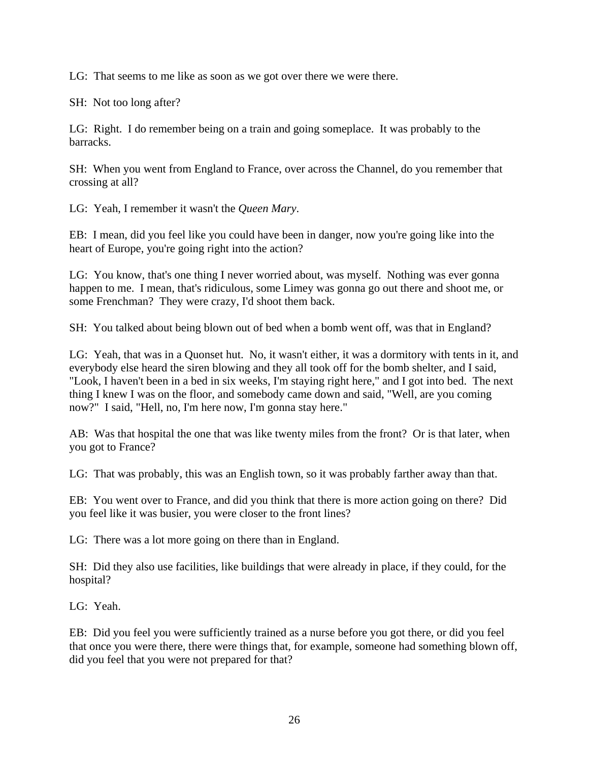LG: That seems to me like as soon as we got over there we were there.

SH: Not too long after?

LG: Right. I do remember being on a train and going someplace. It was probably to the barracks.

SH: When you went from England to France, over across the Channel, do you remember that crossing at all?

LG: Yeah, I remember it wasn't the *Queen Mary*.

EB: I mean, did you feel like you could have been in danger, now you're going like into the heart of Europe, you're going right into the action?

LG: You know, that's one thing I never worried about, was myself. Nothing was ever gonna happen to me. I mean, that's ridiculous, some Limey was gonna go out there and shoot me, or some Frenchman? They were crazy, I'd shoot them back.

SH: You talked about being blown out of bed when a bomb went off, was that in England?

LG: Yeah, that was in a Quonset hut. No, it wasn't either, it was a dormitory with tents in it, and everybody else heard the siren blowing and they all took off for the bomb shelter, and I said, "Look, I haven't been in a bed in six weeks, I'm staying right here," and I got into bed. The next thing I knew I was on the floor, and somebody came down and said, "Well, are you coming now?" I said, "Hell, no, I'm here now, I'm gonna stay here."

AB: Was that hospital the one that was like twenty miles from the front? Or is that later, when you got to France?

LG: That was probably, this was an English town, so it was probably farther away than that.

EB: You went over to France, and did you think that there is more action going on there? Did you feel like it was busier, you were closer to the front lines?

LG: There was a lot more going on there than in England.

SH: Did they also use facilities, like buildings that were already in place, if they could, for the hospital?

LG: Yeah.

EB: Did you feel you were sufficiently trained as a nurse before you got there, or did you feel that once you were there, there were things that, for example, someone had something blown off, did you feel that you were not prepared for that?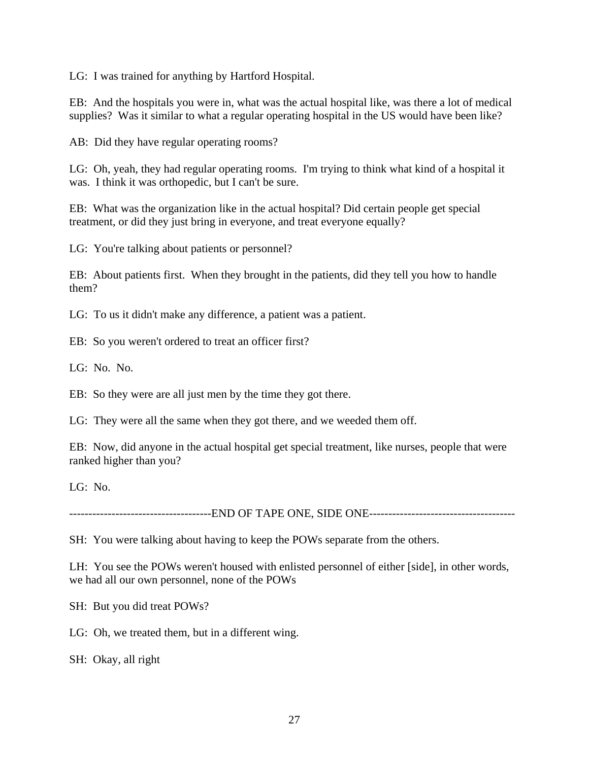LG: I was trained for anything by Hartford Hospital.

EB: And the hospitals you were in, what was the actual hospital like, was there a lot of medical supplies? Was it similar to what a regular operating hospital in the US would have been like?

AB: Did they have regular operating rooms?

LG: Oh, yeah, they had regular operating rooms. I'm trying to think what kind of a hospital it was. I think it was orthopedic, but I can't be sure.

EB: What was the organization like in the actual hospital? Did certain people get special treatment, or did they just bring in everyone, and treat everyone equally?

LG: You're talking about patients or personnel?

EB: About patients first. When they brought in the patients, did they tell you how to handle them?

LG: To us it didn't make any difference, a patient was a patient.

EB: So you weren't ordered to treat an officer first?

LG: No. No.

EB: So they were are all just men by the time they got there.

LG: They were all the same when they got there, and we weeded them off.

EB: Now, did anyone in the actual hospital get special treatment, like nurses, people that were ranked higher than you?

LG: No.

-------------------------------------END OF TAPE ONE, SIDE ONE--------------------------------------

SH: You were talking about having to keep the POWs separate from the others.

LH: You see the POWs weren't housed with enlisted personnel of either [side], in other words, we had all our own personnel, none of the POWs

SH: But you did treat POWs?

LG: Oh, we treated them, but in a different wing.

SH: Okay, all right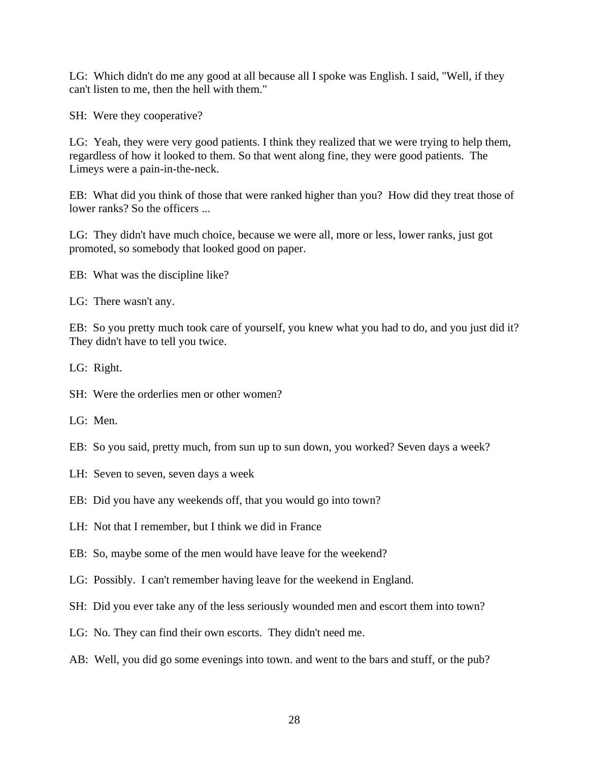LG: Which didn't do me any good at all because all I spoke was English. I said, "Well, if they can't listen to me, then the hell with them."

SH: Were they cooperative?

LG: Yeah, they were very good patients. I think they realized that we were trying to help them, regardless of how it looked to them. So that went along fine, they were good patients. The Limeys were a pain-in-the-neck.

EB: What did you think of those that were ranked higher than you? How did they treat those of lower ranks? So the officers ...

LG: They didn't have much choice, because we were all, more or less, lower ranks, just got promoted, so somebody that looked good on paper.

- EB: What was the discipline like?
- LG: There wasn't any.

EB: So you pretty much took care of yourself, you knew what you had to do, and you just did it? They didn't have to tell you twice.

LG: Right.

- SH: Were the orderlies men or other women?
- LG: Men.
- EB: So you said, pretty much, from sun up to sun down, you worked? Seven days a week?
- LH: Seven to seven, seven days a week
- EB: Did you have any weekends off, that you would go into town?
- LH: Not that I remember, but I think we did in France
- EB: So, maybe some of the men would have leave for the weekend?
- LG: Possibly. I can't remember having leave for the weekend in England.
- SH: Did you ever take any of the less seriously wounded men and escort them into town?
- LG: No. They can find their own escorts. They didn't need me.
- AB: Well, you did go some evenings into town. and went to the bars and stuff, or the pub?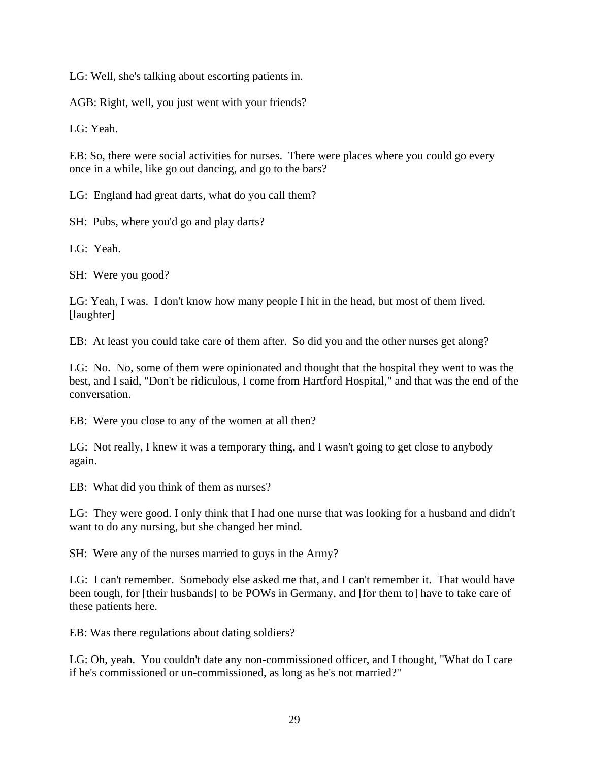LG: Well, she's talking about escorting patients in.

AGB: Right, well, you just went with your friends?

LG: Yeah.

EB: So, there were social activities for nurses. There were places where you could go every once in a while, like go out dancing, and go to the bars?

LG: England had great darts, what do you call them?

SH: Pubs, where you'd go and play darts?

LG: Yeah.

SH: Were you good?

LG: Yeah, I was. I don't know how many people I hit in the head, but most of them lived. [laughter]

EB: At least you could take care of them after. So did you and the other nurses get along?

LG: No. No, some of them were opinionated and thought that the hospital they went to was the best, and I said, "Don't be ridiculous, I come from Hartford Hospital," and that was the end of the conversation.

EB: Were you close to any of the women at all then?

LG: Not really, I knew it was a temporary thing, and I wasn't going to get close to anybody again.

EB: What did you think of them as nurses?

LG: They were good. I only think that I had one nurse that was looking for a husband and didn't want to do any nursing, but she changed her mind.

SH: Were any of the nurses married to guys in the Army?

LG: I can't remember. Somebody else asked me that, and I can't remember it. That would have been tough, for [their husbands] to be POWs in Germany, and [for them to] have to take care of these patients here.

EB: Was there regulations about dating soldiers?

LG: Oh, yeah. You couldn't date any non-commissioned officer, and I thought, "What do I care if he's commissioned or un-commissioned, as long as he's not married?"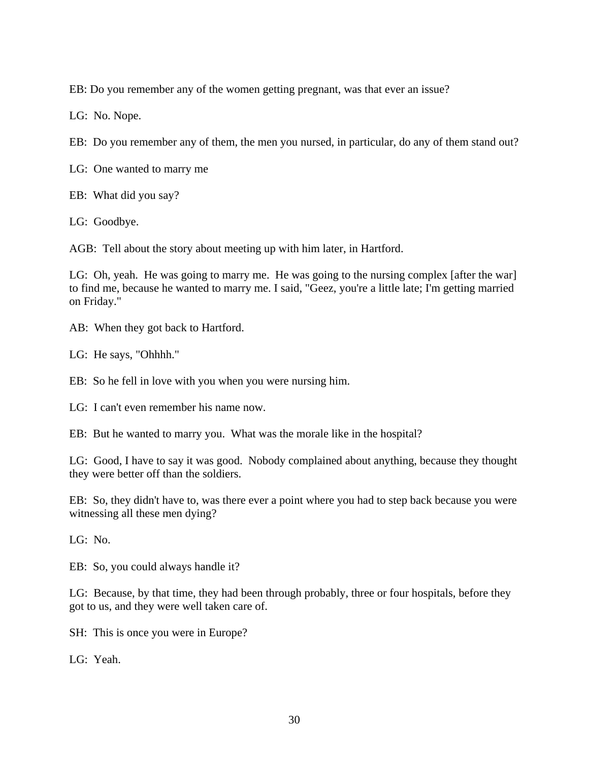EB: Do you remember any of the women getting pregnant, was that ever an issue?

LG: No. Nope.

EB: Do you remember any of them, the men you nursed, in particular, do any of them stand out?

LG: One wanted to marry me

EB: What did you say?

LG: Goodbye.

AGB: Tell about the story about meeting up with him later, in Hartford.

LG: Oh, yeah. He was going to marry me. He was going to the nursing complex [after the war] to find me, because he wanted to marry me. I said, "Geez, you're a little late; I'm getting married on Friday."

AB: When they got back to Hartford.

LG: He says, "Ohhhh."

EB: So he fell in love with you when you were nursing him.

LG: I can't even remember his name now.

EB: But he wanted to marry you. What was the morale like in the hospital?

LG: Good, I have to say it was good. Nobody complained about anything, because they thought they were better off than the soldiers.

EB: So, they didn't have to, was there ever a point where you had to step back because you were witnessing all these men dying?

LG: No.

EB: So, you could always handle it?

LG: Because, by that time, they had been through probably, three or four hospitals, before they got to us, and they were well taken care of.

SH: This is once you were in Europe?

LG: Yeah.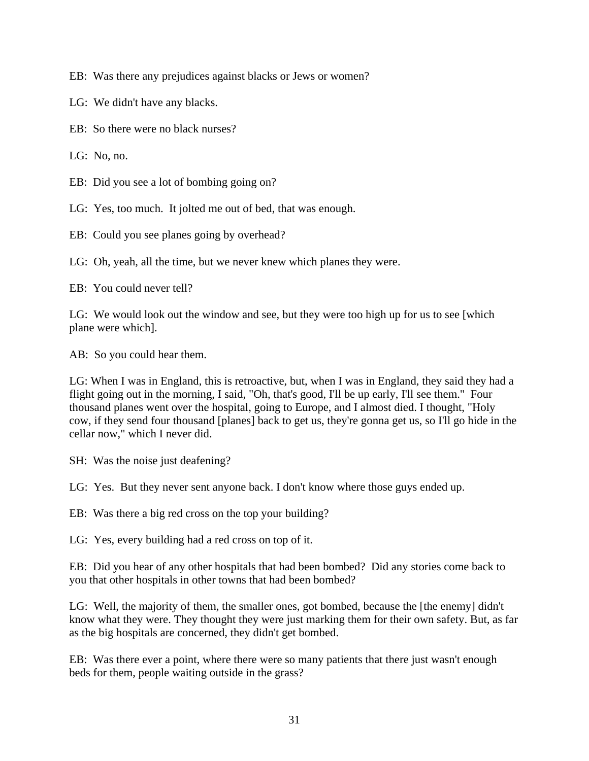EB: Was there any prejudices against blacks or Jews or women?

- LG: We didn't have any blacks.
- EB: So there were no black nurses?
- LG: No. no.
- EB: Did you see a lot of bombing going on?

LG: Yes, too much. It jolted me out of bed, that was enough.

EB: Could you see planes going by overhead?

LG: Oh, yeah, all the time, but we never knew which planes they were.

EB: You could never tell?

LG: We would look out the window and see, but they were too high up for us to see [which plane were which].

AB: So you could hear them.

LG: When I was in England, this is retroactive, but, when I was in England, they said they had a flight going out in the morning, I said, "Oh, that's good, I'll be up early, I'll see them." Four thousand planes went over the hospital, going to Europe, and I almost died. I thought, "Holy cow, if they send four thousand [planes] back to get us, they're gonna get us, so I'll go hide in the cellar now," which I never did.

SH: Was the noise just deafening?

LG: Yes. But they never sent anyone back. I don't know where those guys ended up.

EB: Was there a big red cross on the top your building?

LG: Yes, every building had a red cross on top of it.

EB: Did you hear of any other hospitals that had been bombed? Did any stories come back to you that other hospitals in other towns that had been bombed?

LG: Well, the majority of them, the smaller ones, got bombed, because the [the enemy] didn't know what they were. They thought they were just marking them for their own safety. But, as far as the big hospitals are concerned, they didn't get bombed.

EB: Was there ever a point, where there were so many patients that there just wasn't enough beds for them, people waiting outside in the grass?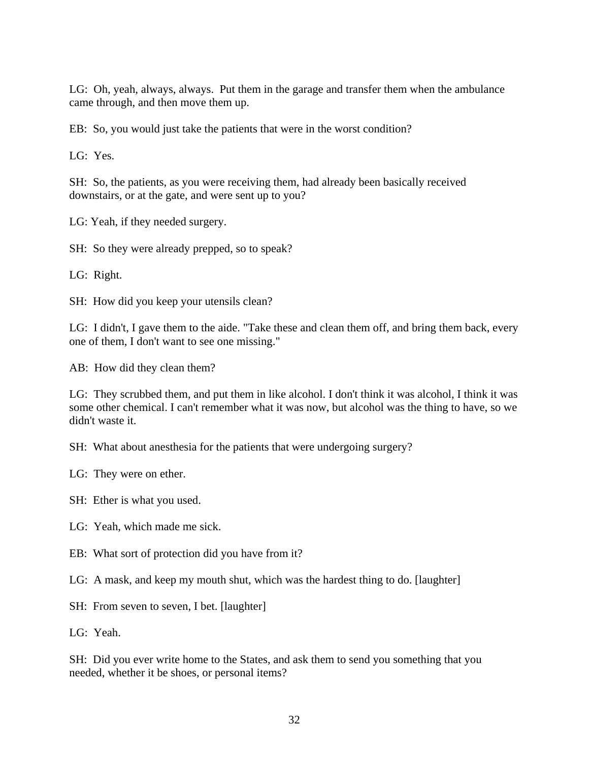LG: Oh, yeah, always, always. Put them in the garage and transfer them when the ambulance came through, and then move them up.

EB: So, you would just take the patients that were in the worst condition?

LG: Yes.

SH: So, the patients, as you were receiving them, had already been basically received downstairs, or at the gate, and were sent up to you?

LG: Yeah, if they needed surgery.

SH: So they were already prepped, so to speak?

LG: Right.

SH: How did you keep your utensils clean?

LG: I didn't, I gave them to the aide. "Take these and clean them off, and bring them back, every one of them, I don't want to see one missing."

AB: How did they clean them?

LG: They scrubbed them, and put them in like alcohol. I don't think it was alcohol, I think it was some other chemical. I can't remember what it was now, but alcohol was the thing to have, so we didn't waste it.

SH: What about anesthesia for the patients that were undergoing surgery?

LG: They were on ether.

SH: Ether is what you used.

LG: Yeah, which made me sick.

EB: What sort of protection did you have from it?

LG: A mask, and keep my mouth shut, which was the hardest thing to do. [laughter]

SH: From seven to seven, I bet. [laughter]

LG: Yeah.

SH: Did you ever write home to the States, and ask them to send you something that you needed, whether it be shoes, or personal items?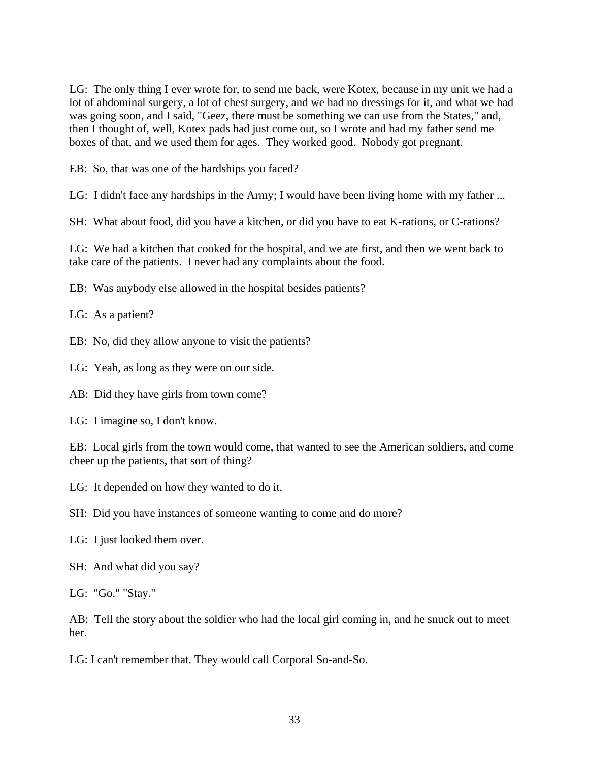LG: The only thing I ever wrote for, to send me back, were Kotex, because in my unit we had a lot of abdominal surgery, a lot of chest surgery, and we had no dressings for it, and what we had was going soon, and I said, "Geez, there must be something we can use from the States," and, then I thought of, well, Kotex pads had just come out, so I wrote and had my father send me boxes of that, and we used them for ages. They worked good. Nobody got pregnant.

EB: So, that was one of the hardships you faced?

LG: I didn't face any hardships in the Army; I would have been living home with my father ...

SH: What about food, did you have a kitchen, or did you have to eat K-rations, or C-rations?

LG: We had a kitchen that cooked for the hospital, and we ate first, and then we went back to take care of the patients. I never had any complaints about the food.

EB: Was anybody else allowed in the hospital besides patients?

LG: As a patient?

EB: No, did they allow anyone to visit the patients?

LG: Yeah, as long as they were on our side.

AB: Did they have girls from town come?

LG: I imagine so, I don't know.

EB: Local girls from the town would come, that wanted to see the American soldiers, and come cheer up the patients, that sort of thing?

LG: It depended on how they wanted to do it.

SH: Did you have instances of someone wanting to come and do more?

LG: I just looked them over.

SH: And what did you say?

LG: "Go." "Stay."

AB: Tell the story about the soldier who had the local girl coming in, and he snuck out to meet her.

LG: I can't remember that. They would call Corporal So-and-So.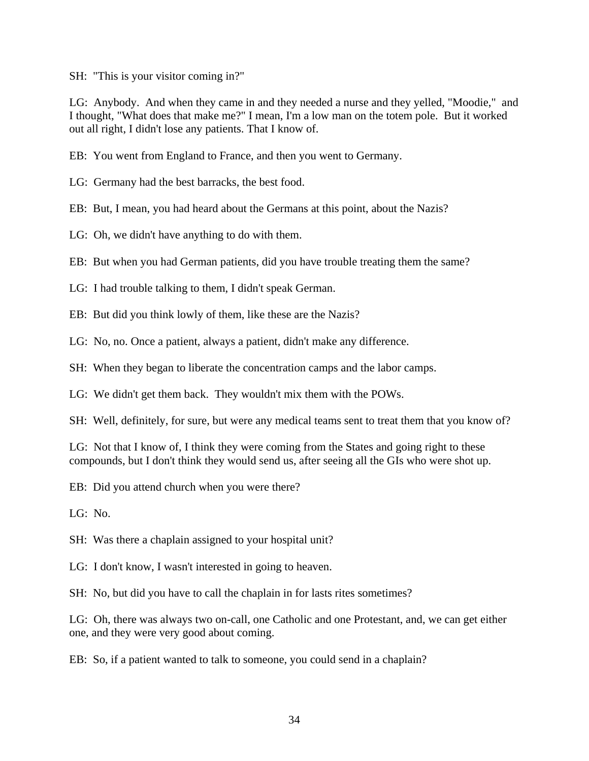SH: "This is your visitor coming in?"

LG: Anybody. And when they came in and they needed a nurse and they yelled, "Moodie," and I thought, "What does that make me?" I mean, I'm a low man on the totem pole. But it worked out all right, I didn't lose any patients. That I know of.

EB: You went from England to France, and then you went to Germany.

LG: Germany had the best barracks, the best food.

EB: But, I mean, you had heard about the Germans at this point, about the Nazis?

LG: Oh, we didn't have anything to do with them.

EB: But when you had German patients, did you have trouble treating them the same?

LG: I had trouble talking to them, I didn't speak German.

EB: But did you think lowly of them, like these are the Nazis?

LG: No, no. Once a patient, always a patient, didn't make any difference.

SH: When they began to liberate the concentration camps and the labor camps.

LG: We didn't get them back. They wouldn't mix them with the POWs.

SH: Well, definitely, for sure, but were any medical teams sent to treat them that you know of?

LG: Not that I know of, I think they were coming from the States and going right to these compounds, but I don't think they would send us, after seeing all the GIs who were shot up.

EB: Did you attend church when you were there?

LG: No.

SH: Was there a chaplain assigned to your hospital unit?

LG: I don't know, I wasn't interested in going to heaven.

SH: No, but did you have to call the chaplain in for lasts rites sometimes?

LG: Oh, there was always two on-call, one Catholic and one Protestant, and, we can get either one, and they were very good about coming.

EB: So, if a patient wanted to talk to someone, you could send in a chaplain?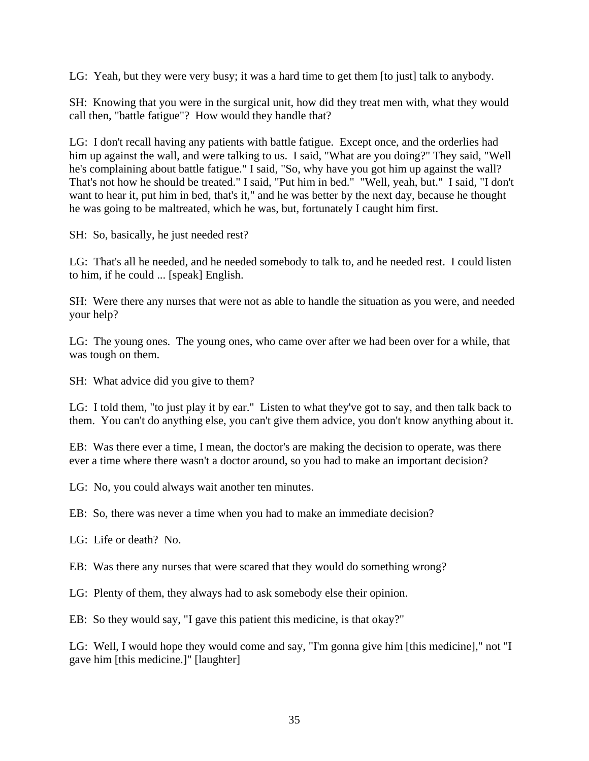LG: Yeah, but they were very busy; it was a hard time to get them [to just] talk to anybody.

SH: Knowing that you were in the surgical unit, how did they treat men with, what they would call then, "battle fatigue"? How would they handle that?

LG: I don't recall having any patients with battle fatigue. Except once, and the orderlies had him up against the wall, and were talking to us. I said, "What are you doing?" They said, "Well he's complaining about battle fatigue." I said, "So, why have you got him up against the wall? That's not how he should be treated." I said, "Put him in bed." "Well, yeah, but." I said, "I don't want to hear it, put him in bed, that's it," and he was better by the next day, because he thought he was going to be maltreated, which he was, but, fortunately I caught him first.

SH: So, basically, he just needed rest?

LG: That's all he needed, and he needed somebody to talk to, and he needed rest. I could listen to him, if he could ... [speak] English.

SH: Were there any nurses that were not as able to handle the situation as you were, and needed your help?

LG: The young ones. The young ones, who came over after we had been over for a while, that was tough on them.

SH: What advice did you give to them?

LG: I told them, "to just play it by ear." Listen to what they've got to say, and then talk back to them. You can't do anything else, you can't give them advice, you don't know anything about it.

EB: Was there ever a time, I mean, the doctor's are making the decision to operate, was there ever a time where there wasn't a doctor around, so you had to make an important decision?

LG: No, you could always wait another ten minutes.

EB: So, there was never a time when you had to make an immediate decision?

LG: Life or death? No.

EB: Was there any nurses that were scared that they would do something wrong?

LG: Plenty of them, they always had to ask somebody else their opinion.

EB: So they would say, "I gave this patient this medicine, is that okay?"

LG: Well, I would hope they would come and say, "I'm gonna give him [this medicine]," not "I gave him [this medicine.]" [laughter]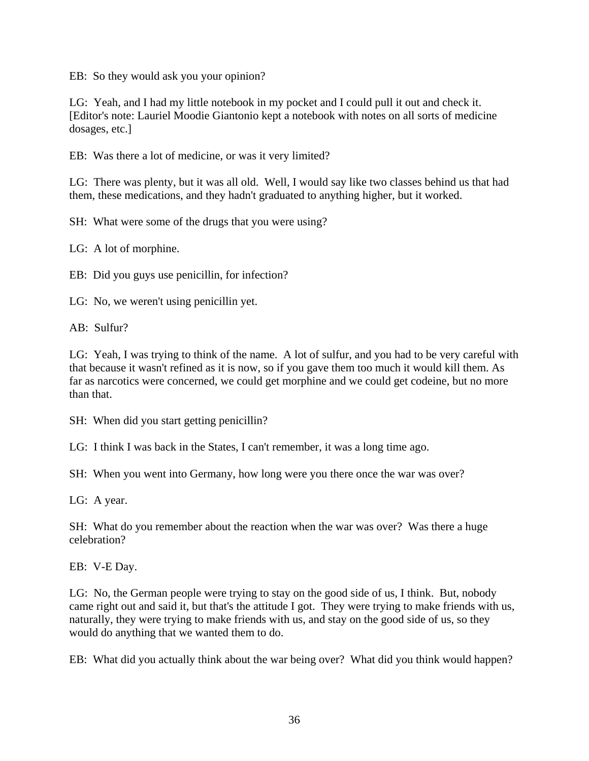EB: So they would ask you your opinion?

LG: Yeah, and I had my little notebook in my pocket and I could pull it out and check it. [Editor's note: Lauriel Moodie Giantonio kept a notebook with notes on all sorts of medicine dosages, etc.]

EB: Was there a lot of medicine, or was it very limited?

LG: There was plenty, but it was all old. Well, I would say like two classes behind us that had them, these medications, and they hadn't graduated to anything higher, but it worked.

SH: What were some of the drugs that you were using?

LG: A lot of morphine.

EB: Did you guys use penicillin, for infection?

LG: No, we weren't using penicillin yet.

AB: Sulfur?

LG: Yeah, I was trying to think of the name. A lot of sulfur, and you had to be very careful with that because it wasn't refined as it is now, so if you gave them too much it would kill them. As far as narcotics were concerned, we could get morphine and we could get codeine, but no more than that.

SH: When did you start getting penicillin?

LG: I think I was back in the States, I can't remember, it was a long time ago.

SH: When you went into Germany, how long were you there once the war was over?

LG: A year.

SH: What do you remember about the reaction when the war was over? Was there a huge celebration?

EB: V-E Day.

LG: No, the German people were trying to stay on the good side of us, I think. But, nobody came right out and said it, but that's the attitude I got. They were trying to make friends with us, naturally, they were trying to make friends with us, and stay on the good side of us, so they would do anything that we wanted them to do.

EB: What did you actually think about the war being over? What did you think would happen?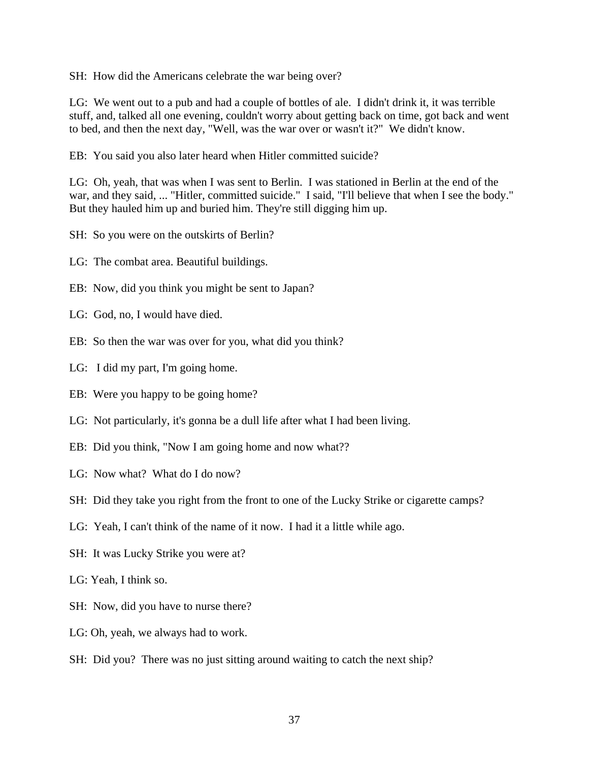SH: How did the Americans celebrate the war being over?

LG: We went out to a pub and had a couple of bottles of ale. I didn't drink it, it was terrible stuff, and, talked all one evening, couldn't worry about getting back on time, got back and went to bed, and then the next day, "Well, was the war over or wasn't it?" We didn't know.

EB: You said you also later heard when Hitler committed suicide?

LG: Oh, yeah, that was when I was sent to Berlin. I was stationed in Berlin at the end of the war, and they said, ... "Hitler, committed suicide." I said, "I'll believe that when I see the body." But they hauled him up and buried him. They're still digging him up.

- SH: So you were on the outskirts of Berlin?
- LG: The combat area. Beautiful buildings.
- EB: Now, did you think you might be sent to Japan?
- LG: God, no, I would have died.
- EB: So then the war was over for you, what did you think?
- LG: I did my part, I'm going home.
- EB: Were you happy to be going home?
- LG: Not particularly, it's gonna be a dull life after what I had been living.
- EB: Did you think, "Now I am going home and now what??
- LG: Now what? What do I do now?
- SH: Did they take you right from the front to one of the Lucky Strike or cigarette camps?
- LG: Yeah, I can't think of the name of it now. I had it a little while ago.
- SH: It was Lucky Strike you were at?
- LG: Yeah, I think so.
- SH: Now, did you have to nurse there?
- LG: Oh, yeah, we always had to work.
- SH: Did you? There was no just sitting around waiting to catch the next ship?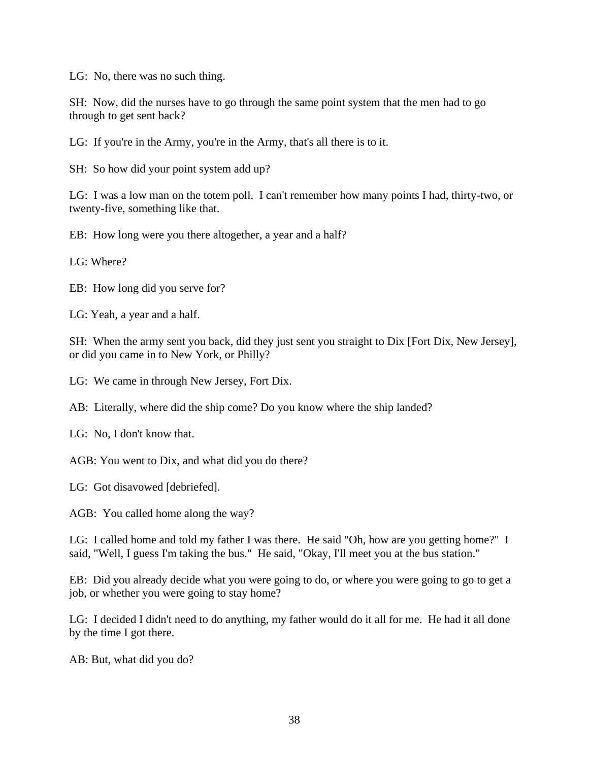LG: No, there was no such thing.

SH: Now, did the nurses have to go through the same point system that the men had to go through to get sent back?

LG: If you're in the Army, you're in the Army, that's all there is to it.

SH: So how did your point system add up?

LG: I was a low man on the totem poll. I can't remember how many points I had, thirty-two, or twenty-five, something like that.

EB: How long were you there altogether, a year and a half?

LG: Where?

EB: How long did you serve for?

LG: Yeah, a year and a half.

SH: When the army sent you back, did they just sent you straight to Dix [Fort Dix, New Jersey], or did you came in to New York, or Philly?

LG: We came in through New Jersey, Fort Dix.

AB: Literally, where did the ship come? Do you know where the ship landed?

LG: No, I don't know that.

AGB: You went to Dix, and what did you do there?

LG: Got disavowed [debriefed].

AGB: You called home along the way?

LG: I called home and told my father I was there. He said "Oh, how are you getting home?" I said, "Well, I guess I'm taking the bus." He said, "Okay, I'll meet you at the bus station."

EB: Did you already decide what you were going to do, or where you were going to go to get a job, or whether you were going to stay home?

LG: I decided I didn't need to do anything, my father would do it all for me. He had it all done by the time I got there.

AB: But, what did you do?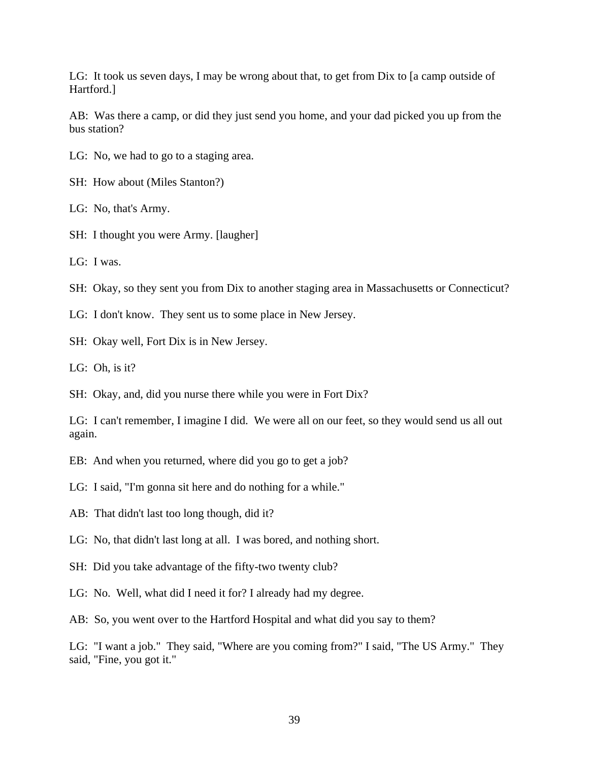LG: It took us seven days, I may be wrong about that, to get from Dix to [a camp outside of Hartford.]

AB: Was there a camp, or did they just send you home, and your dad picked you up from the bus station?

LG: No, we had to go to a staging area.

SH: How about (Miles Stanton?)

LG: No, that's Army.

SH: I thought you were Army. [laugher]

LG: I was.

SH: Okay, so they sent you from Dix to another staging area in Massachusetts or Connecticut?

LG: I don't know. They sent us to some place in New Jersey.

SH: Okay well, Fort Dix is in New Jersey.

LG: Oh, is it?

SH: Okay, and, did you nurse there while you were in Fort Dix?

LG: I can't remember, I imagine I did. We were all on our feet, so they would send us all out again.

EB: And when you returned, where did you go to get a job?

LG: I said, "I'm gonna sit here and do nothing for a while."

AB: That didn't last too long though, did it?

LG: No, that didn't last long at all. I was bored, and nothing short.

SH: Did you take advantage of the fifty-two twenty club?

LG: No. Well, what did I need it for? I already had my degree.

AB: So, you went over to the Hartford Hospital and what did you say to them?

LG: "I want a job." They said, "Where are you coming from?" I said, "The US Army." They said, "Fine, you got it."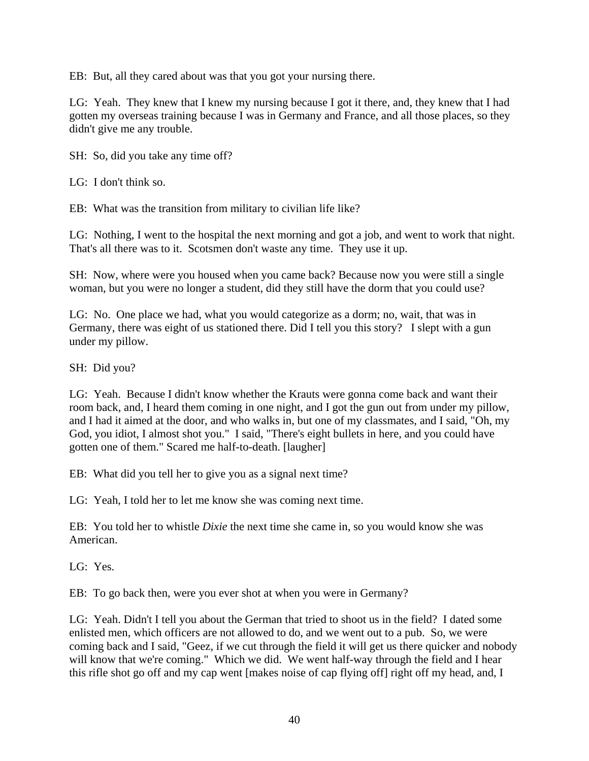EB: But, all they cared about was that you got your nursing there.

LG: Yeah. They knew that I knew my nursing because I got it there, and, they knew that I had gotten my overseas training because I was in Germany and France, and all those places, so they didn't give me any trouble.

SH: So, did you take any time off?

LG: I don't think so.

EB: What was the transition from military to civilian life like?

LG: Nothing, I went to the hospital the next morning and got a job, and went to work that night. That's all there was to it. Scotsmen don't waste any time. They use it up.

SH: Now, where were you housed when you came back? Because now you were still a single woman, but you were no longer a student, did they still have the dorm that you could use?

LG: No. One place we had, what you would categorize as a dorm; no, wait, that was in Germany, there was eight of us stationed there. Did I tell you this story? I slept with a gun under my pillow.

SH: Did you?

LG: Yeah. Because I didn't know whether the Krauts were gonna come back and want their room back, and, I heard them coming in one night, and I got the gun out from under my pillow, and I had it aimed at the door, and who walks in, but one of my classmates, and I said, "Oh, my God, you idiot, I almost shot you." I said, "There's eight bullets in here, and you could have gotten one of them." Scared me half-to-death. [laugher]

EB: What did you tell her to give you as a signal next time?

LG: Yeah, I told her to let me know she was coming next time.

EB: You told her to whistle *Dixie* the next time she came in, so you would know she was American.

LG: Yes.

EB: To go back then, were you ever shot at when you were in Germany?

LG: Yeah. Didn't I tell you about the German that tried to shoot us in the field? I dated some enlisted men, which officers are not allowed to do, and we went out to a pub. So, we were coming back and I said, "Geez, if we cut through the field it will get us there quicker and nobody will know that we're coming." Which we did. We went half-way through the field and I hear this rifle shot go off and my cap went [makes noise of cap flying off] right off my head, and, I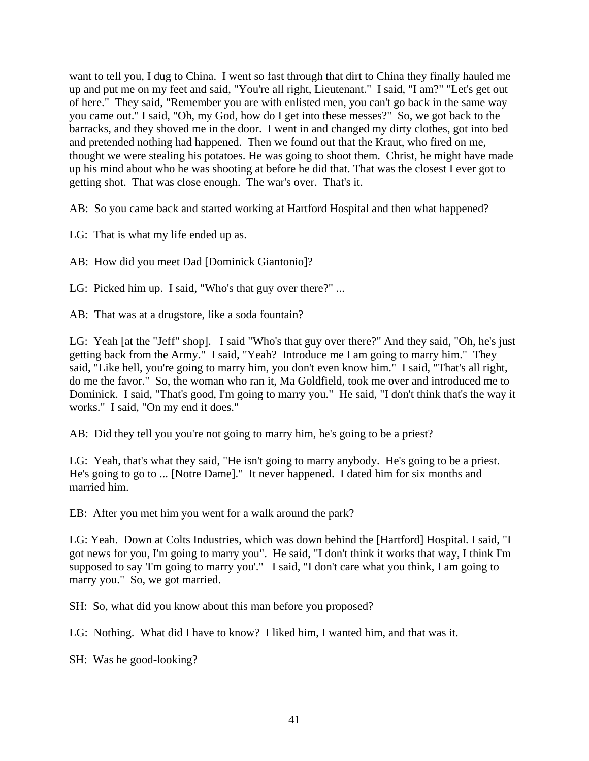want to tell you, I dug to China. I went so fast through that dirt to China they finally hauled me up and put me on my feet and said, "You're all right, Lieutenant." I said, "I am?" "Let's get out of here." They said, "Remember you are with enlisted men, you can't go back in the same way you came out." I said, "Oh, my God, how do I get into these messes?" So, we got back to the barracks, and they shoved me in the door. I went in and changed my dirty clothes, got into bed and pretended nothing had happened. Then we found out that the Kraut, who fired on me, thought we were stealing his potatoes. He was going to shoot them. Christ, he might have made up his mind about who he was shooting at before he did that. That was the closest I ever got to getting shot. That was close enough. The war's over. That's it.

AB: So you came back and started working at Hartford Hospital and then what happened?

LG: That is what my life ended up as.

AB: How did you meet Dad [Dominick Giantonio]?

LG: Picked him up. I said, "Who's that guy over there?" ...

AB: That was at a drugstore, like a soda fountain?

LG: Yeah [at the "Jeff" shop]. I said "Who's that guy over there?" And they said, "Oh, he's just getting back from the Army." I said, "Yeah? Introduce me I am going to marry him." They said, "Like hell, you're going to marry him, you don't even know him." I said, "That's all right, do me the favor." So, the woman who ran it, Ma Goldfield, took me over and introduced me to Dominick. I said, "That's good, I'm going to marry you." He said, "I don't think that's the way it works." I said, "On my end it does."

AB: Did they tell you you're not going to marry him, he's going to be a priest?

LG: Yeah, that's what they said, "He isn't going to marry anybody. He's going to be a priest. He's going to go to ... [Notre Dame]." It never happened. I dated him for six months and married him.

EB: After you met him you went for a walk around the park?

LG: Yeah. Down at Colts Industries, which was down behind the [Hartford] Hospital. I said, "I got news for you, I'm going to marry you". He said, "I don't think it works that way, I think I'm supposed to say 'I'm going to marry you'." I said, "I don't care what you think, I am going to marry you." So, we got married.

SH: So, what did you know about this man before you proposed?

LG: Nothing. What did I have to know? I liked him, I wanted him, and that was it.

SH: Was he good-looking?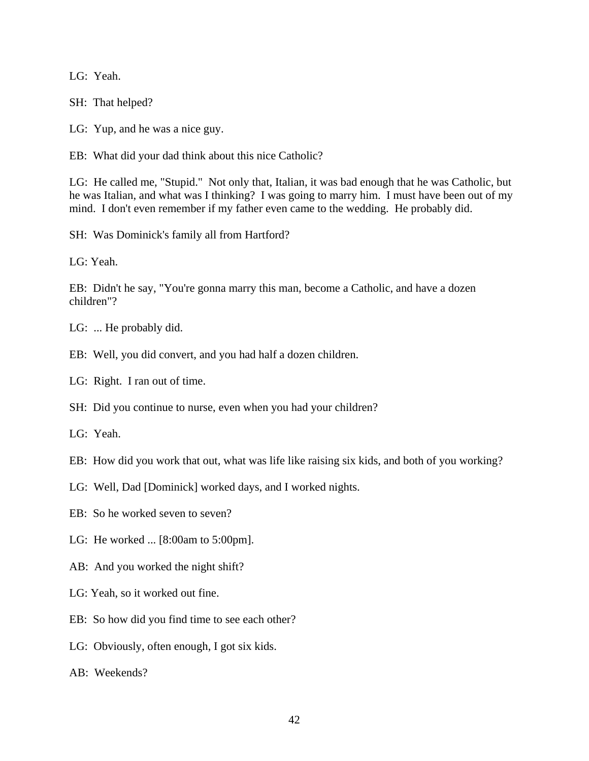LG: Yeah.

SH: That helped?

LG: Yup, and he was a nice guy.

EB: What did your dad think about this nice Catholic?

LG: He called me, "Stupid." Not only that, Italian, it was bad enough that he was Catholic, but he was Italian, and what was I thinking? I was going to marry him. I must have been out of my mind. I don't even remember if my father even came to the wedding. He probably did.

SH: Was Dominick's family all from Hartford?

LG: Yeah.

EB: Didn't he say, "You're gonna marry this man, become a Catholic, and have a dozen children"?

LG: ... He probably did.

- EB: Well, you did convert, and you had half a dozen children.
- LG: Right. I ran out of time.

SH: Did you continue to nurse, even when you had your children?

LG: Yeah.

- EB: How did you work that out, what was life like raising six kids, and both of you working?
- LG: Well, Dad [Dominick] worked days, and I worked nights.
- EB: So he worked seven to seven?
- LG: He worked ... [8:00am to 5:00pm].
- AB: And you worked the night shift?
- LG: Yeah, so it worked out fine.
- EB: So how did you find time to see each other?
- LG: Obviously, often enough, I got six kids.
- AB: Weekends?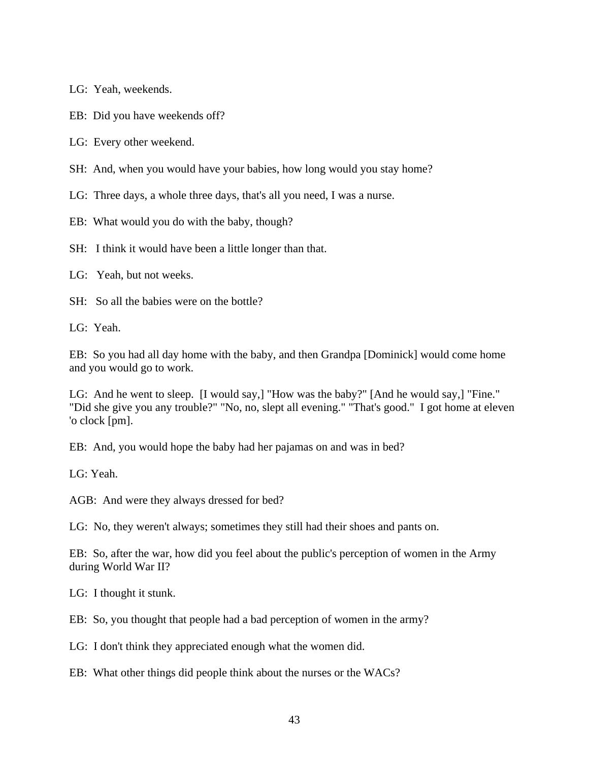LG: Yeah, weekends.

EB: Did you have weekends off?

LG: Every other weekend.

SH: And, when you would have your babies, how long would you stay home?

LG: Three days, a whole three days, that's all you need, I was a nurse.

EB: What would you do with the baby, though?

SH: I think it would have been a little longer than that.

LG: Yeah, but not weeks.

SH: So all the babies were on the bottle?

LG: Yeah.

EB: So you had all day home with the baby, and then Grandpa [Dominick] would come home and you would go to work.

LG: And he went to sleep. [I would say,] "How was the baby?" [And he would say,] "Fine." "Did she give you any trouble?" "No, no, slept all evening." "That's good." I got home at eleven 'o clock [pm].

EB: And, you would hope the baby had her pajamas on and was in bed?

LG: Yeah.

AGB: And were they always dressed for bed?

LG: No, they weren't always; sometimes they still had their shoes and pants on.

EB: So, after the war, how did you feel about the public's perception of women in the Army during World War II?

LG: I thought it stunk.

EB: So, you thought that people had a bad perception of women in the army?

LG: I don't think they appreciated enough what the women did.

EB: What other things did people think about the nurses or the WACs?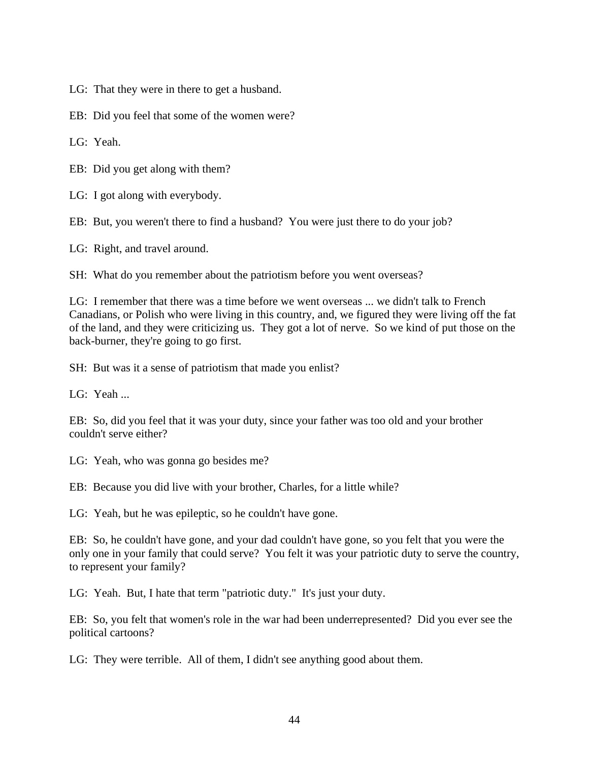LG: That they were in there to get a husband.

EB: Did you feel that some of the women were?

LG: Yeah.

EB: Did you get along with them?

LG: I got along with everybody.

EB: But, you weren't there to find a husband? You were just there to do your job?

LG: Right, and travel around.

SH: What do you remember about the patriotism before you went overseas?

LG: I remember that there was a time before we went overseas ... we didn't talk to French Canadians, or Polish who were living in this country, and, we figured they were living off the fat of the land, and they were criticizing us. They got a lot of nerve. So we kind of put those on the back-burner, they're going to go first.

SH: But was it a sense of patriotism that made you enlist?

LG: Yeah ...

EB: So, did you feel that it was your duty, since your father was too old and your brother couldn't serve either?

LG: Yeah, who was gonna go besides me?

EB: Because you did live with your brother, Charles, for a little while?

LG: Yeah, but he was epileptic, so he couldn't have gone.

EB: So, he couldn't have gone, and your dad couldn't have gone, so you felt that you were the only one in your family that could serve? You felt it was your patriotic duty to serve the country, to represent your family?

LG: Yeah. But, I hate that term "patriotic duty." It's just your duty.

EB: So, you felt that women's role in the war had been underrepresented? Did you ever see the political cartoons?

LG: They were terrible. All of them, I didn't see anything good about them.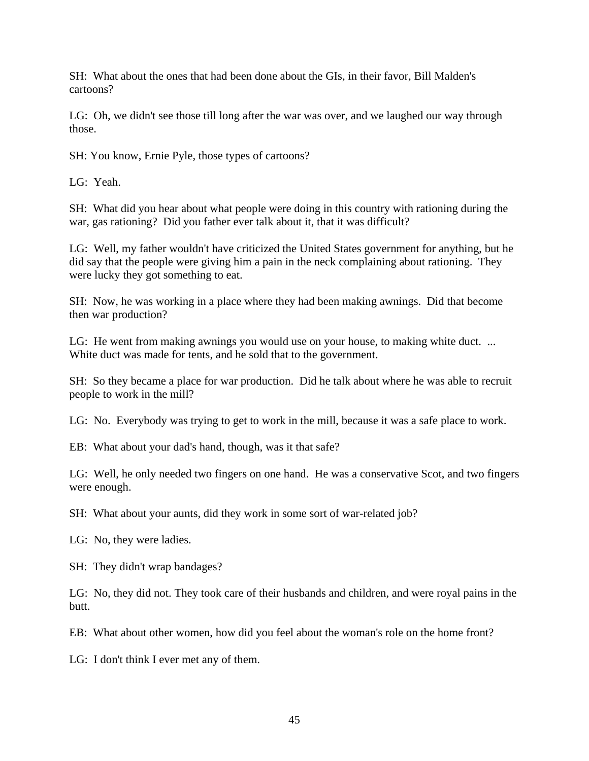SH: What about the ones that had been done about the GIs, in their favor, Bill Malden's cartoons?

LG: Oh, we didn't see those till long after the war was over, and we laughed our way through those.

SH: You know, Ernie Pyle, those types of cartoons?

LG: Yeah.

SH: What did you hear about what people were doing in this country with rationing during the war, gas rationing? Did you father ever talk about it, that it was difficult?

LG: Well, my father wouldn't have criticized the United States government for anything, but he did say that the people were giving him a pain in the neck complaining about rationing. They were lucky they got something to eat.

SH: Now, he was working in a place where they had been making awnings. Did that become then war production?

LG: He went from making awnings you would use on your house, to making white duct. ... White duct was made for tents, and he sold that to the government.

SH: So they became a place for war production. Did he talk about where he was able to recruit people to work in the mill?

LG: No. Everybody was trying to get to work in the mill, because it was a safe place to work.

EB: What about your dad's hand, though, was it that safe?

LG: Well, he only needed two fingers on one hand. He was a conservative Scot, and two fingers were enough.

SH: What about your aunts, did they work in some sort of war-related job?

LG: No, they were ladies.

SH: They didn't wrap bandages?

LG: No, they did not. They took care of their husbands and children, and were royal pains in the butt.

EB: What about other women, how did you feel about the woman's role on the home front?

LG: I don't think I ever met any of them.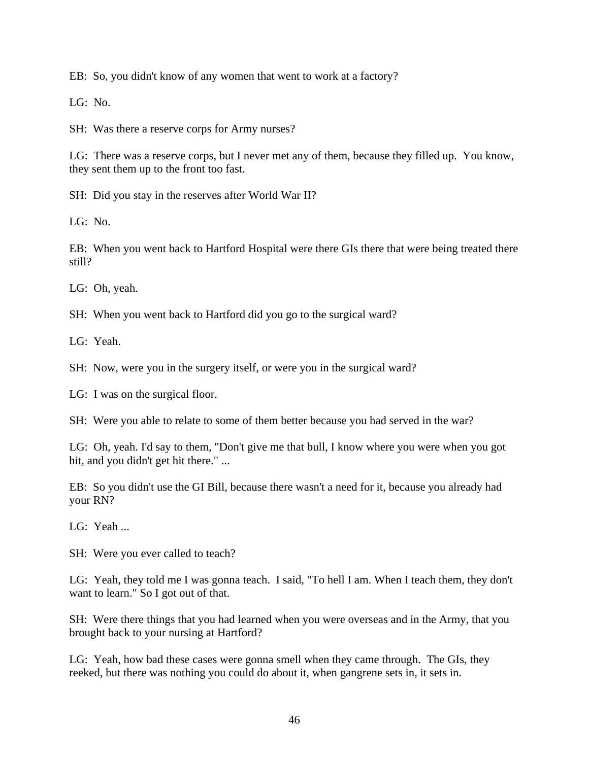EB: So, you didn't know of any women that went to work at a factory?

LG: No.

SH: Was there a reserve corps for Army nurses?

LG: There was a reserve corps, but I never met any of them, because they filled up. You know, they sent them up to the front too fast.

SH: Did you stay in the reserves after World War II?

LG: No.

EB: When you went back to Hartford Hospital were there GIs there that were being treated there still?

LG: Oh, yeah.

SH: When you went back to Hartford did you go to the surgical ward?

LG: Yeah.

SH: Now, were you in the surgery itself, or were you in the surgical ward?

LG: I was on the surgical floor.

SH: Were you able to relate to some of them better because you had served in the war?

LG: Oh, yeah. I'd say to them, "Don't give me that bull, I know where you were when you got hit, and you didn't get hit there." ...

EB: So you didn't use the GI Bill, because there wasn't a need for it, because you already had your RN?

LG: Yeah ...

SH: Were you ever called to teach?

LG: Yeah, they told me I was gonna teach. I said, "To hell I am. When I teach them, they don't want to learn." So I got out of that.

SH: Were there things that you had learned when you were overseas and in the Army, that you brought back to your nursing at Hartford?

LG: Yeah, how bad these cases were gonna smell when they came through. The GIs, they reeked, but there was nothing you could do about it, when gangrene sets in, it sets in.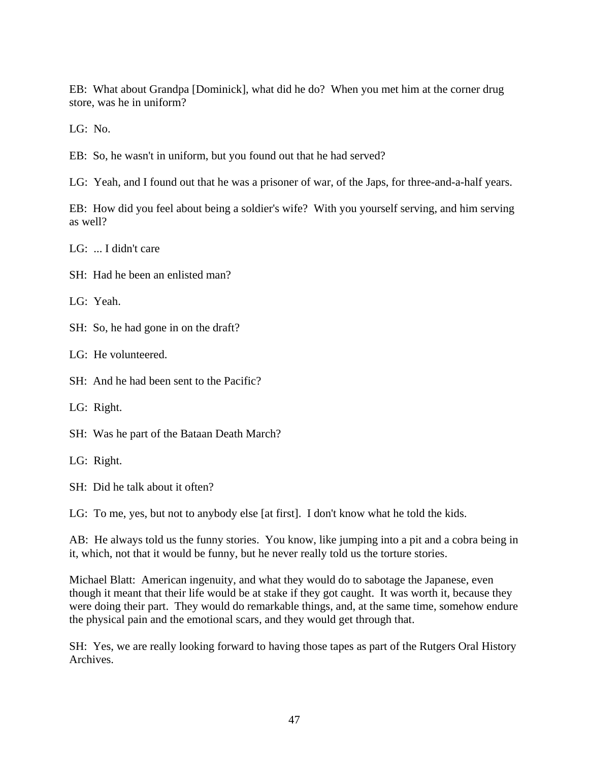EB: What about Grandpa [Dominick], what did he do? When you met him at the corner drug store, was he in uniform?

LG: No.

EB: So, he wasn't in uniform, but you found out that he had served?

LG: Yeah, and I found out that he was a prisoner of war, of the Japs, for three-and-a-half years.

EB: How did you feel about being a soldier's wife? With you yourself serving, and him serving as well?

LG: ... I didn't care

SH: Had he been an enlisted man?

LG: Yeah.

SH: So, he had gone in on the draft?

LG: He volunteered.

SH: And he had been sent to the Pacific?

LG: Right.

SH: Was he part of the Bataan Death March?

LG: Right.

SH: Did he talk about it often?

LG: To me, yes, but not to anybody else [at first]. I don't know what he told the kids.

AB: He always told us the funny stories. You know, like jumping into a pit and a cobra being in it, which, not that it would be funny, but he never really told us the torture stories.

Michael Blatt: American ingenuity, and what they would do to sabotage the Japanese, even though it meant that their life would be at stake if they got caught. It was worth it, because they were doing their part. They would do remarkable things, and, at the same time, somehow endure the physical pain and the emotional scars, and they would get through that.

SH: Yes, we are really looking forward to having those tapes as part of the Rutgers Oral History Archives.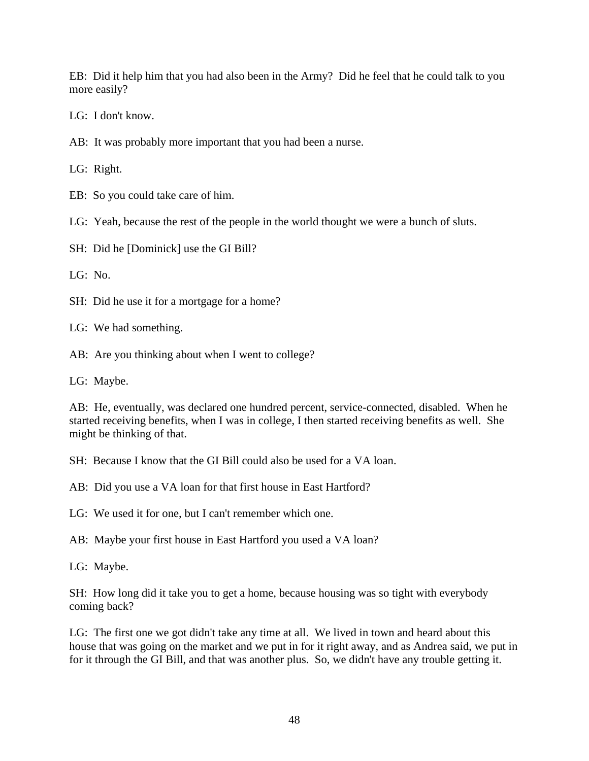EB: Did it help him that you had also been in the Army? Did he feel that he could talk to you more easily?

LG: I don't know.

AB: It was probably more important that you had been a nurse.

LG: Right.

EB: So you could take care of him.

LG: Yeah, because the rest of the people in the world thought we were a bunch of sluts.

SH: Did he [Dominick] use the GI Bill?

LG: No.

SH: Did he use it for a mortgage for a home?

LG: We had something.

AB: Are you thinking about when I went to college?

LG: Maybe.

AB: He, eventually, was declared one hundred percent, service-connected, disabled. When he started receiving benefits, when I was in college, I then started receiving benefits as well. She might be thinking of that.

SH: Because I know that the GI Bill could also be used for a VA loan.

AB: Did you use a VA loan for that first house in East Hartford?

LG: We used it for one, but I can't remember which one.

AB: Maybe your first house in East Hartford you used a VA loan?

LG: Maybe.

SH: How long did it take you to get a home, because housing was so tight with everybody coming back?

LG: The first one we got didn't take any time at all. We lived in town and heard about this house that was going on the market and we put in for it right away, and as Andrea said, we put in for it through the GI Bill, and that was another plus. So, we didn't have any trouble getting it.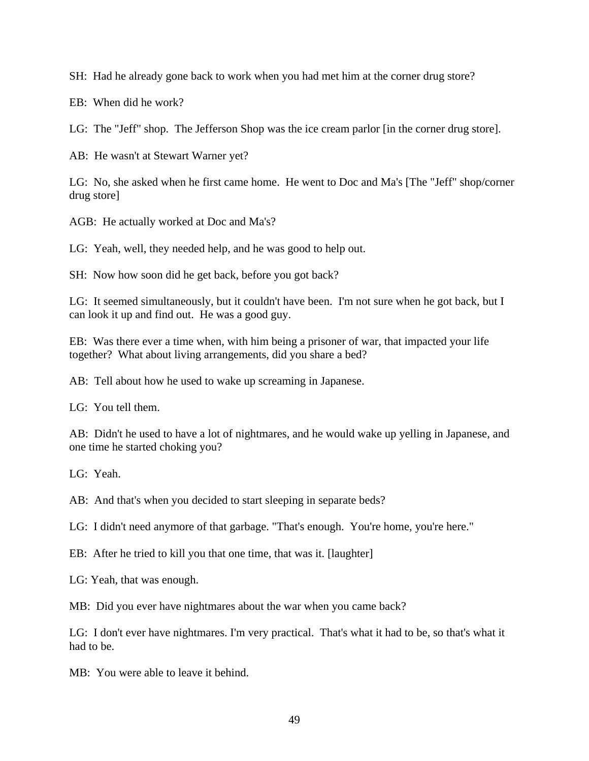SH: Had he already gone back to work when you had met him at the corner drug store?

EB: When did he work?

LG: The "Jeff" shop. The Jefferson Shop was the ice cream parlor [in the corner drug store].

AB: He wasn't at Stewart Warner yet?

LG: No, she asked when he first came home. He went to Doc and Ma's [The "Jeff" shop/corner drug store]

AGB: He actually worked at Doc and Ma's?

LG: Yeah, well, they needed help, and he was good to help out.

SH: Now how soon did he get back, before you got back?

LG: It seemed simultaneously, but it couldn't have been. I'm not sure when he got back, but I can look it up and find out. He was a good guy.

EB: Was there ever a time when, with him being a prisoner of war, that impacted your life together? What about living arrangements, did you share a bed?

AB: Tell about how he used to wake up screaming in Japanese.

LG: You tell them.

AB: Didn't he used to have a lot of nightmares, and he would wake up yelling in Japanese, and one time he started choking you?

LG: Yeah.

AB: And that's when you decided to start sleeping in separate beds?

LG: I didn't need anymore of that garbage. "That's enough. You're home, you're here."

EB: After he tried to kill you that one time, that was it. [laughter]

LG: Yeah, that was enough.

MB: Did you ever have nightmares about the war when you came back?

LG: I don't ever have nightmares. I'm very practical. That's what it had to be, so that's what it had to be.

MB: You were able to leave it behind.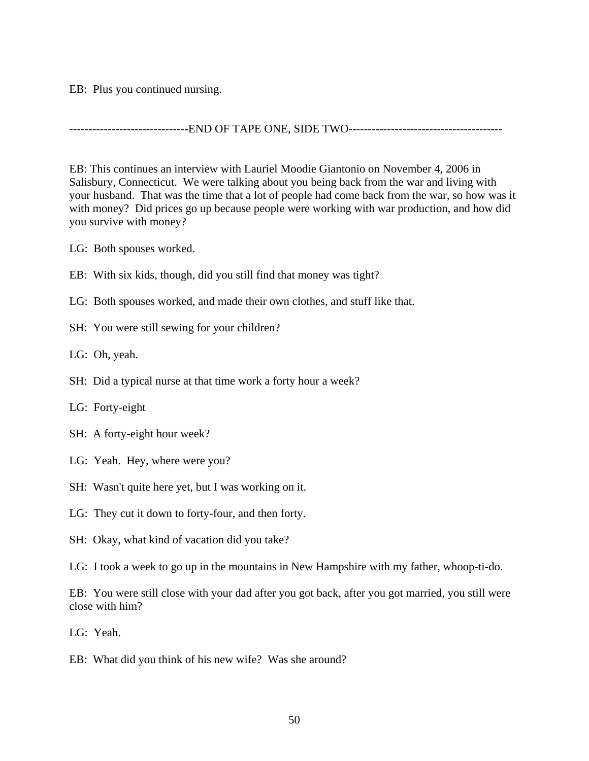EB: Plus you continued nursing.

-------------------------------END OF TAPE ONE, SIDE TWO----------------------------------------

EB: This continues an interview with Lauriel Moodie Giantonio on November 4, 2006 in Salisbury, Connecticut. We were talking about you being back from the war and living with your husband. That was the time that a lot of people had come back from the war, so how was it with money? Did prices go up because people were working with war production, and how did you survive with money?

- LG: Both spouses worked.
- EB: With six kids, though, did you still find that money was tight?
- LG: Both spouses worked, and made their own clothes, and stuff like that.
- SH: You were still sewing for your children?
- LG: Oh, yeah.
- SH: Did a typical nurse at that time work a forty hour a week?
- LG: Forty-eight
- SH: A forty-eight hour week?
- LG: Yeah. Hey, where were you?
- SH: Wasn't quite here yet, but I was working on it.
- LG: They cut it down to forty-four, and then forty.
- SH: Okay, what kind of vacation did you take?
- LG: I took a week to go up in the mountains in New Hampshire with my father, whoop-ti-do.

EB: You were still close with your dad after you got back, after you got married, you still were close with him?

- LG: Yeah.
- EB: What did you think of his new wife? Was she around?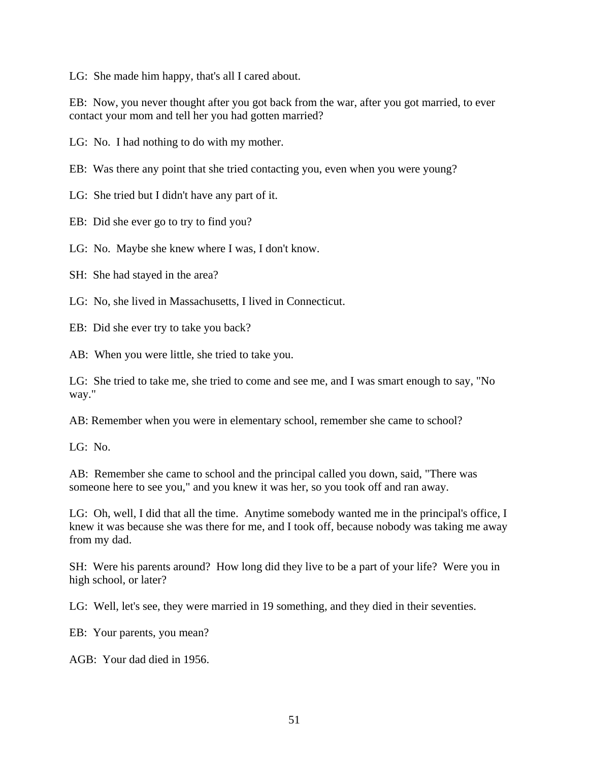LG: She made him happy, that's all I cared about.

EB: Now, you never thought after you got back from the war, after you got married, to ever contact your mom and tell her you had gotten married?

LG: No. I had nothing to do with my mother.

EB: Was there any point that she tried contacting you, even when you were young?

LG: She tried but I didn't have any part of it.

EB: Did she ever go to try to find you?

LG: No. Maybe she knew where I was, I don't know.

SH: She had stayed in the area?

LG: No, she lived in Massachusetts, I lived in Connecticut.

EB: Did she ever try to take you back?

AB: When you were little, she tried to take you.

LG: She tried to take me, she tried to come and see me, and I was smart enough to say, "No way."

AB: Remember when you were in elementary school, remember she came to school?

LG: No.

AB: Remember she came to school and the principal called you down, said, "There was someone here to see you," and you knew it was her, so you took off and ran away.

LG: Oh, well, I did that all the time. Anytime somebody wanted me in the principal's office, I knew it was because she was there for me, and I took off, because nobody was taking me away from my dad.

SH: Were his parents around? How long did they live to be a part of your life? Were you in high school, or later?

LG: Well, let's see, they were married in 19 something, and they died in their seventies.

EB: Your parents, you mean?

AGB: Your dad died in 1956.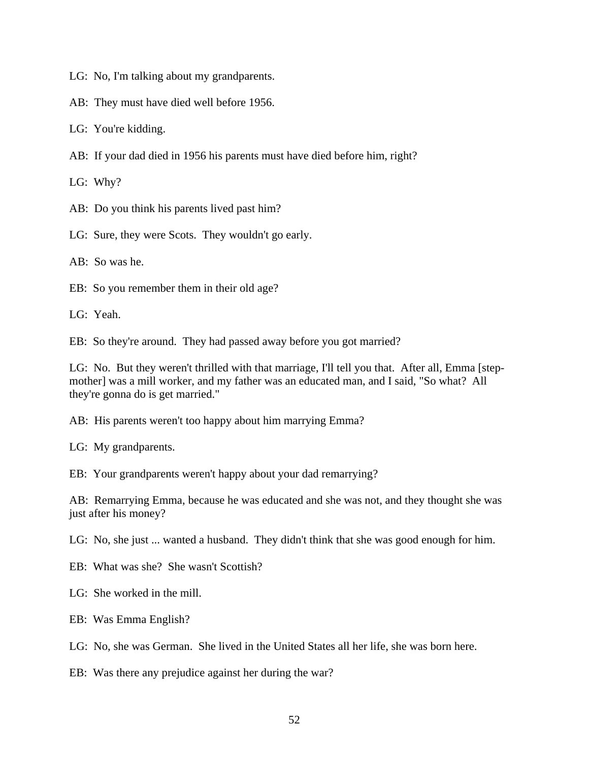- LG: No, I'm talking about my grandparents.
- AB: They must have died well before 1956.
- LG: You're kidding.
- AB: If your dad died in 1956 his parents must have died before him, right?

LG: Why?

AB: Do you think his parents lived past him?

LG: Sure, they were Scots. They wouldn't go early.

AB: So was he.

EB: So you remember them in their old age?

LG: Yeah.

EB: So they're around. They had passed away before you got married?

LG: No. But they weren't thrilled with that marriage, I'll tell you that. After all, Emma [stepmother] was a mill worker, and my father was an educated man, and I said, "So what? All they're gonna do is get married."

AB: His parents weren't too happy about him marrying Emma?

LG: My grandparents.

EB: Your grandparents weren't happy about your dad remarrying?

AB: Remarrying Emma, because he was educated and she was not, and they thought she was just after his money?

LG: No, she just ... wanted a husband. They didn't think that she was good enough for him.

EB: What was she? She wasn't Scottish?

LG: She worked in the mill.

EB: Was Emma English?

LG: No, she was German. She lived in the United States all her life, she was born here.

EB: Was there any prejudice against her during the war?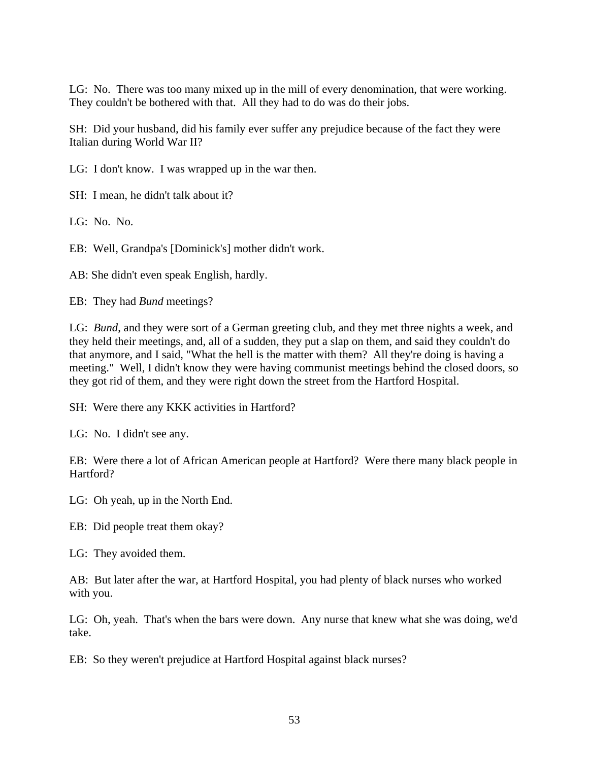LG: No. There was too many mixed up in the mill of every denomination, that were working. They couldn't be bothered with that. All they had to do was do their jobs.

SH: Did your husband, did his family ever suffer any prejudice because of the fact they were Italian during World War II?

LG: I don't know. I was wrapped up in the war then.

SH: I mean, he didn't talk about it?

LG: No. No.

EB: Well, Grandpa's [Dominick's] mother didn't work.

AB: She didn't even speak English, hardly.

EB: They had *Bund* meetings?

LG: *Bund*, and they were sort of a German greeting club, and they met three nights a week, and they held their meetings, and, all of a sudden, they put a slap on them, and said they couldn't do that anymore, and I said, "What the hell is the matter with them? All they're doing is having a meeting." Well, I didn't know they were having communist meetings behind the closed doors, so they got rid of them, and they were right down the street from the Hartford Hospital.

SH: Were there any KKK activities in Hartford?

LG: No. I didn't see any.

EB: Were there a lot of African American people at Hartford? Were there many black people in Hartford?

LG: Oh yeah, up in the North End.

EB: Did people treat them okay?

LG: They avoided them.

AB: But later after the war, at Hartford Hospital, you had plenty of black nurses who worked with you.

LG: Oh, yeah. That's when the bars were down. Any nurse that knew what she was doing, we'd take.

EB: So they weren't prejudice at Hartford Hospital against black nurses?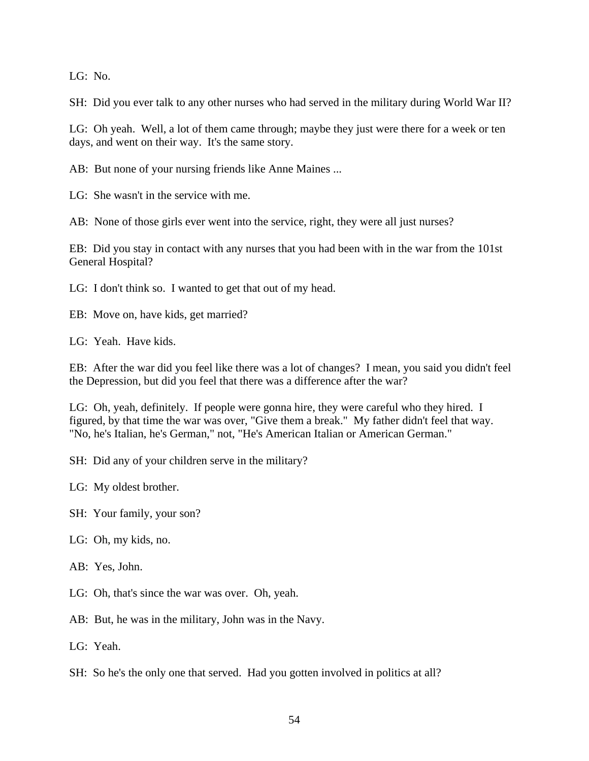LG: No.

SH: Did you ever talk to any other nurses who had served in the military during World War II?

LG: Oh yeah. Well, a lot of them came through; maybe they just were there for a week or ten days, and went on their way. It's the same story.

AB: But none of your nursing friends like Anne Maines ...

LG: She wasn't in the service with me.

AB: None of those girls ever went into the service, right, they were all just nurses?

EB: Did you stay in contact with any nurses that you had been with in the war from the 101st General Hospital?

LG: I don't think so. I wanted to get that out of my head.

EB: Move on, have kids, get married?

LG: Yeah. Have kids.

EB: After the war did you feel like there was a lot of changes? I mean, you said you didn't feel the Depression, but did you feel that there was a difference after the war?

LG: Oh, yeah, definitely. If people were gonna hire, they were careful who they hired. I figured, by that time the war was over, "Give them a break." My father didn't feel that way. "No, he's Italian, he's German," not, "He's American Italian or American German."

SH: Did any of your children serve in the military?

LG: My oldest brother.

SH: Your family, your son?

LG: Oh, my kids, no.

AB: Yes, John.

LG: Oh, that's since the war was over. Oh, yeah.

AB: But, he was in the military, John was in the Navy.

LG: Yeah.

SH: So he's the only one that served. Had you gotten involved in politics at all?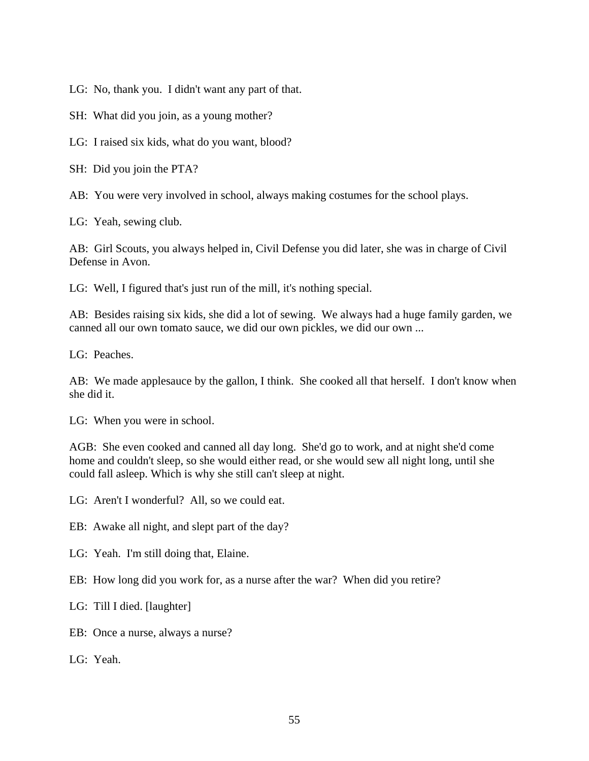LG: No, thank you. I didn't want any part of that.

SH: What did you join, as a young mother?

LG: I raised six kids, what do you want, blood?

SH: Did you join the PTA?

AB: You were very involved in school, always making costumes for the school plays.

LG: Yeah, sewing club.

AB: Girl Scouts, you always helped in, Civil Defense you did later, she was in charge of Civil Defense in Avon.

LG: Well, I figured that's just run of the mill, it's nothing special.

AB: Besides raising six kids, she did a lot of sewing. We always had a huge family garden, we canned all our own tomato sauce, we did our own pickles, we did our own ...

LG: Peaches.

AB: We made applesauce by the gallon, I think. She cooked all that herself. I don't know when she did it.

LG: When you were in school.

AGB: She even cooked and canned all day long. She'd go to work, and at night she'd come home and couldn't sleep, so she would either read, or she would sew all night long, until she could fall asleep. Which is why she still can't sleep at night.

LG: Aren't I wonderful? All, so we could eat.

EB: Awake all night, and slept part of the day?

LG: Yeah. I'm still doing that, Elaine.

EB: How long did you work for, as a nurse after the war? When did you retire?

LG: Till I died. [laughter]

EB: Once a nurse, always a nurse?

LG: Yeah.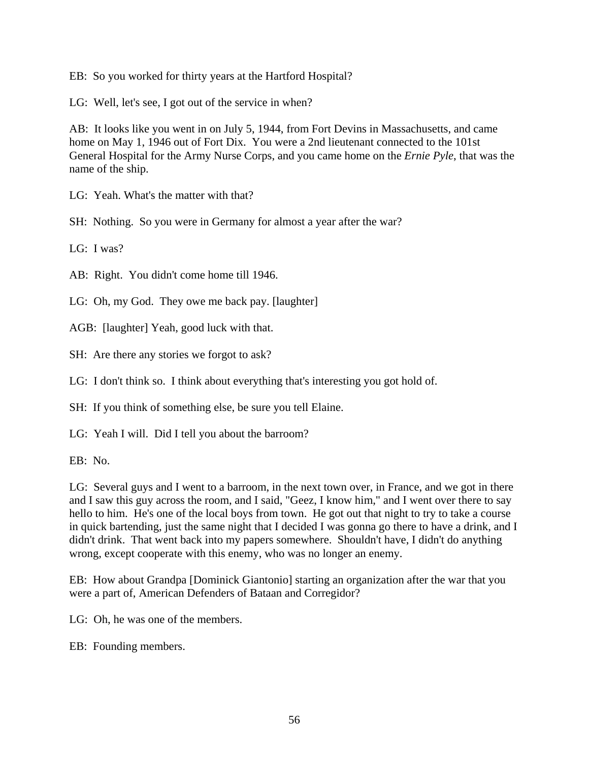EB: So you worked for thirty years at the Hartford Hospital?

LG: Well, let's see, I got out of the service in when?

AB: It looks like you went in on July 5, 1944, from Fort Devins in Massachusetts, and came home on May 1, 1946 out of Fort Dix. You were a 2nd lieutenant connected to the 101st General Hospital for the Army Nurse Corps, and you came home on the *Ernie Pyle*, that was the name of the ship.

LG: Yeah. What's the matter with that?

SH: Nothing. So you were in Germany for almost a year after the war?

LG: I was?

AB: Right. You didn't come home till 1946.

LG: Oh, my God. They owe me back pay. [laughter]

AGB: [laughter] Yeah, good luck with that.

SH: Are there any stories we forgot to ask?

LG: I don't think so. I think about everything that's interesting you got hold of.

SH: If you think of something else, be sure you tell Elaine.

LG: Yeah I will. Did I tell you about the barroom?

EB: No.

LG: Several guys and I went to a barroom, in the next town over, in France, and we got in there and I saw this guy across the room, and I said, "Geez, I know him," and I went over there to say hello to him. He's one of the local boys from town. He got out that night to try to take a course in quick bartending, just the same night that I decided I was gonna go there to have a drink, and I didn't drink. That went back into my papers somewhere. Shouldn't have, I didn't do anything wrong, except cooperate with this enemy, who was no longer an enemy.

EB: How about Grandpa [Dominick Giantonio] starting an organization after the war that you were a part of, American Defenders of Bataan and Corregidor?

LG: Oh, he was one of the members.

EB: Founding members.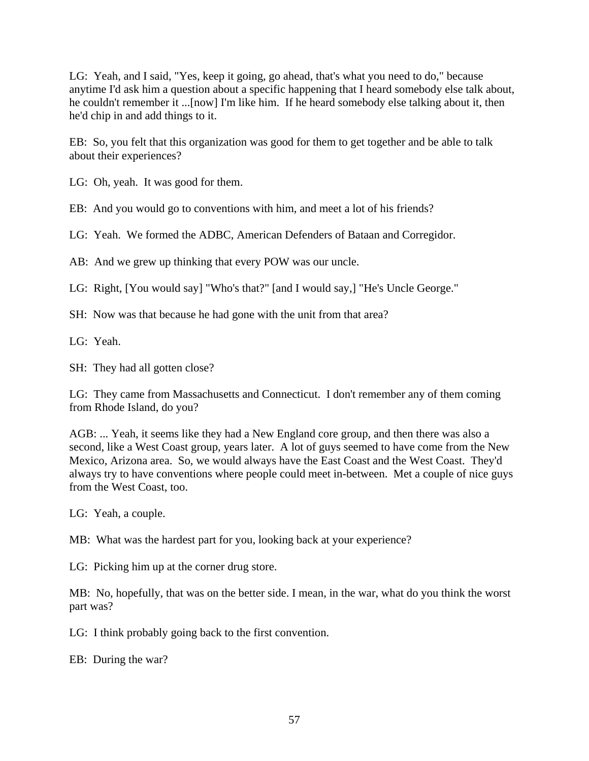LG: Yeah, and I said, "Yes, keep it going, go ahead, that's what you need to do," because anytime I'd ask him a question about a specific happening that I heard somebody else talk about, he couldn't remember it ...[now] I'm like him. If he heard somebody else talking about it, then he'd chip in and add things to it.

EB: So, you felt that this organization was good for them to get together and be able to talk about their experiences?

LG: Oh, yeah. It was good for them.

EB: And you would go to conventions with him, and meet a lot of his friends?

LG: Yeah. We formed the ADBC, American Defenders of Bataan and Corregidor.

AB: And we grew up thinking that every POW was our uncle.

LG: Right, [You would say] "Who's that?" [and I would say,] "He's Uncle George."

SH: Now was that because he had gone with the unit from that area?

LG: Yeah.

SH: They had all gotten close?

LG: They came from Massachusetts and Connecticut. I don't remember any of them coming from Rhode Island, do you?

AGB: ... Yeah, it seems like they had a New England core group, and then there was also a second, like a West Coast group, years later. A lot of guys seemed to have come from the New Mexico, Arizona area. So, we would always have the East Coast and the West Coast. They'd always try to have conventions where people could meet in-between. Met a couple of nice guys from the West Coast, too.

LG: Yeah, a couple.

MB: What was the hardest part for you, looking back at your experience?

LG: Picking him up at the corner drug store.

MB: No, hopefully, that was on the better side. I mean, in the war, what do you think the worst part was?

LG: I think probably going back to the first convention.

EB: During the war?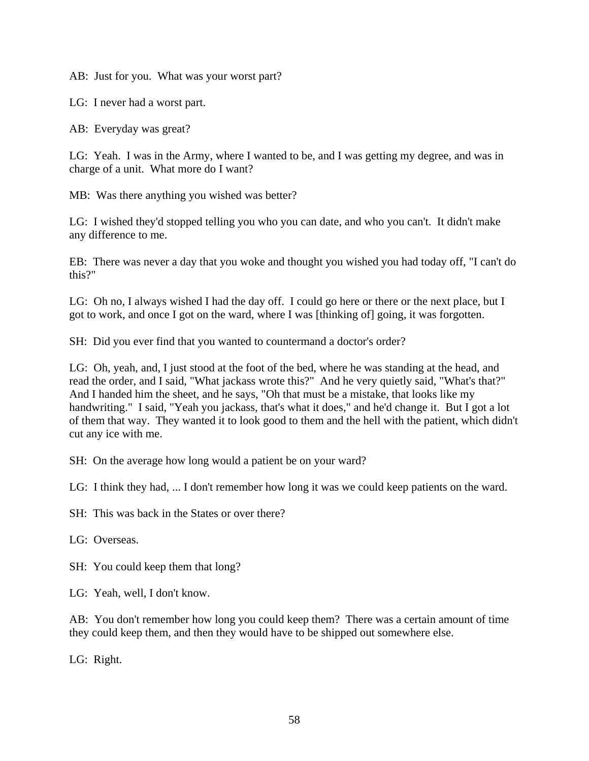AB: Just for you. What was your worst part?

LG: I never had a worst part.

AB: Everyday was great?

LG: Yeah. I was in the Army, where I wanted to be, and I was getting my degree, and was in charge of a unit. What more do I want?

MB: Was there anything you wished was better?

LG: I wished they'd stopped telling you who you can date, and who you can't. It didn't make any difference to me.

EB: There was never a day that you woke and thought you wished you had today off, "I can't do this?"

LG: Oh no, I always wished I had the day off. I could go here or there or the next place, but I got to work, and once I got on the ward, where I was [thinking of] going, it was forgotten.

SH: Did you ever find that you wanted to countermand a doctor's order?

LG: Oh, yeah, and, I just stood at the foot of the bed, where he was standing at the head, and read the order, and I said, "What jackass wrote this?" And he very quietly said, "What's that?" And I handed him the sheet, and he says, "Oh that must be a mistake, that looks like my handwriting." I said, "Yeah you jackass, that's what it does," and he'd change it. But I got a lot of them that way. They wanted it to look good to them and the hell with the patient, which didn't cut any ice with me.

SH: On the average how long would a patient be on your ward?

LG: I think they had, ... I don't remember how long it was we could keep patients on the ward.

SH: This was back in the States or over there?

LG: Overseas.

SH: You could keep them that long?

LG: Yeah, well, I don't know.

AB: You don't remember how long you could keep them? There was a certain amount of time they could keep them, and then they would have to be shipped out somewhere else.

LG: Right.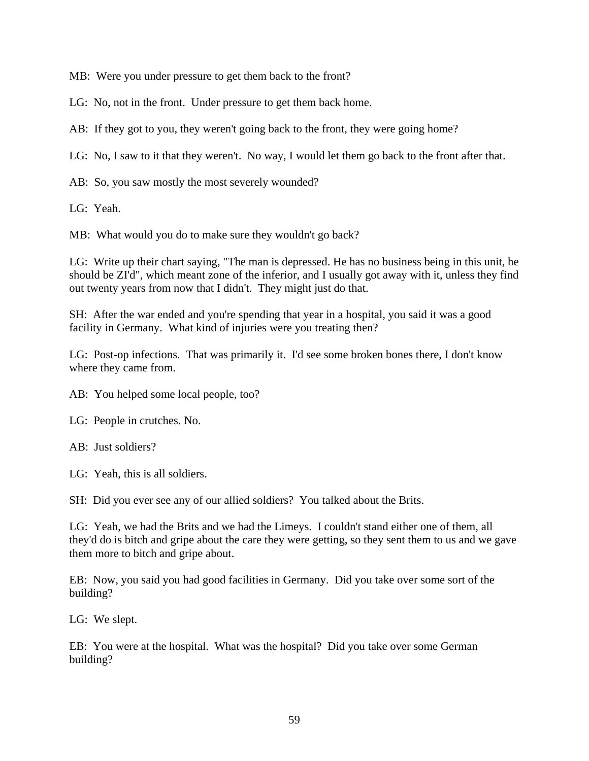MB: Were you under pressure to get them back to the front?

LG: No, not in the front. Under pressure to get them back home.

AB: If they got to you, they weren't going back to the front, they were going home?

LG: No, I saw to it that they weren't. No way, I would let them go back to the front after that.

AB: So, you saw mostly the most severely wounded?

LG: Yeah.

MB: What would you do to make sure they wouldn't go back?

LG: Write up their chart saying, "The man is depressed. He has no business being in this unit, he should be ZI'd", which meant zone of the inferior, and I usually got away with it, unless they find out twenty years from now that I didn't. They might just do that.

SH: After the war ended and you're spending that year in a hospital, you said it was a good facility in Germany. What kind of injuries were you treating then?

LG: Post-op infections. That was primarily it. I'd see some broken bones there, I don't know where they came from.

AB: You helped some local people, too?

LG: People in crutches. No.

AB: Just soldiers?

LG: Yeah, this is all soldiers.

SH: Did you ever see any of our allied soldiers? You talked about the Brits.

LG: Yeah, we had the Brits and we had the Limeys. I couldn't stand either one of them, all they'd do is bitch and gripe about the care they were getting, so they sent them to us and we gave them more to bitch and gripe about.

EB: Now, you said you had good facilities in Germany. Did you take over some sort of the building?

LG: We slept.

EB: You were at the hospital. What was the hospital? Did you take over some German building?